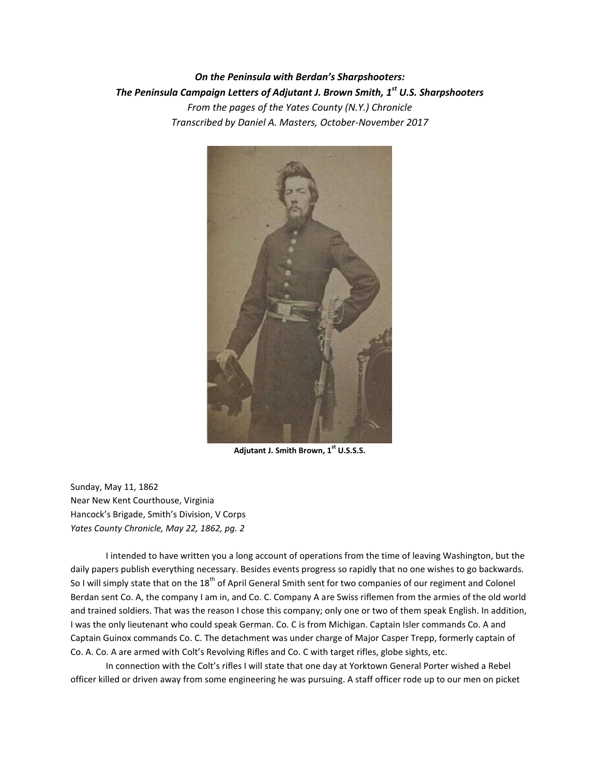*On the Peninsula with Berdan's Sharpshooters: The Peninsula Campaign Letters of Adjutant J. Brown Smith, 1st U.S. Sharpshooters From the pages of the Yates County (N.Y.) Chronicle Transcribed by Daniel A. Masters, October-November 2017*



**Adjutant J. Smith Brown, 1st U.S.S.S.**

Sunday, May 11, 1862 Near New Kent Courthouse, Virginia Hancock's Brigade, Smith's Division, V Corps *Yates County Chronicle, May 22, 1862, pg. 2*

I intended to have written you a long account of operations from the time of leaving Washington, but the daily papers publish everything necessary. Besides events progress so rapidly that no one wishes to go backwards. So I will simply state that on the  $18<sup>th</sup>$  of April General Smith sent for two companies of our regiment and Colonel Berdan sent Co. A, the company I am in, and Co. C. Company A are Swiss riflemen from the armies of the old world and trained soldiers. That was the reason I chose this company; only one or two of them speak English. In addition, I was the only lieutenant who could speak German. Co. C is from Michigan. Captain Isler commands Co. A and Captain Guinox commands Co. C. The detachment was under charge of Major Casper Trepp, formerly captain of Co. A. Co. A are armed with Colt's Revolving Rifles and Co. C with target rifles, globe sights, etc.

In connection with the Colt's rifles I will state that one day at Yorktown General Porter wished a Rebel officer killed or driven away from some engineering he was pursuing. A staff officer rode up to our men on picket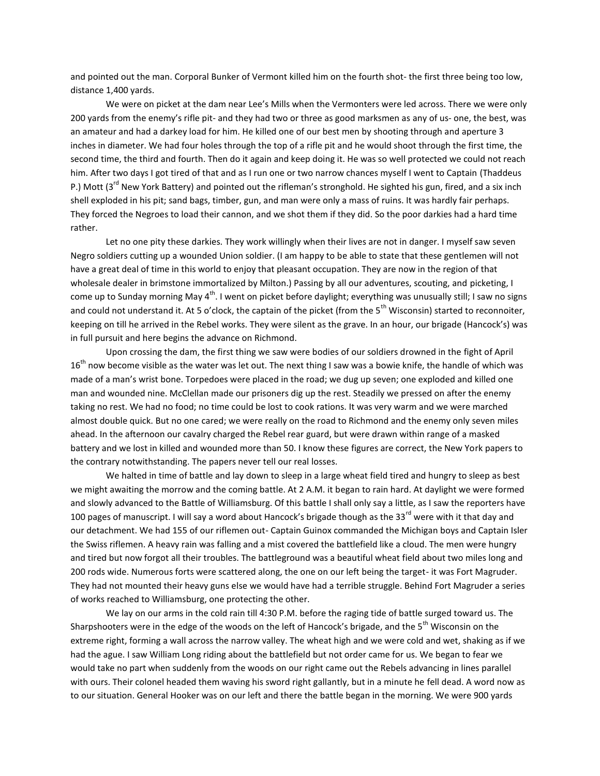and pointed out the man. Corporal Bunker of Vermont killed him on the fourth shot- the first three being too low, distance 1,400 yards.

We were on picket at the dam near Lee's Mills when the Vermonters were led across. There we were only 200 yards from the enemy's rifle pit- and they had two or three as good marksmen as any of us- one, the best, was an amateur and had a darkey load for him. He killed one of our best men by shooting through and aperture 3 inches in diameter. We had four holes through the top of a rifle pit and he would shoot through the first time, the second time, the third and fourth. Then do it again and keep doing it. He was so well protected we could not reach him. After two days I got tired of that and as I run one or two narrow chances myself I went to Captain (Thaddeus P.) Mott (3<sup>rd</sup> New York Battery) and pointed out the rifleman's stronghold. He sighted his gun, fired, and a six inch shell exploded in his pit; sand bags, timber, gun, and man were only a mass of ruins. It was hardly fair perhaps. They forced the Negroes to load their cannon, and we shot them if they did. So the poor darkies had a hard time rather.

Let no one pity these darkies. They work willingly when their lives are not in danger. I myself saw seven Negro soldiers cutting up a wounded Union soldier. (I am happy to be able to state that these gentlemen will not have a great deal of time in this world to enjoy that pleasant occupation. They are now in the region of that wholesale dealer in brimstone immortalized by Milton.) Passing by all our adventures, scouting, and picketing, I come up to Sunday morning May  $4<sup>th</sup>$ . I went on picket before daylight; everything was unusually still; I saw no signs and could not understand it. At 5 o'clock, the captain of the picket (from the  $5<sup>th</sup>$  Wisconsin) started to reconnoiter, keeping on till he arrived in the Rebel works. They were silent as the grave. In an hour, our brigade (Hancock's) was in full pursuit and here begins the advance on Richmond.

Upon crossing the dam, the first thing we saw were bodies of our soldiers drowned in the fight of April  $16<sup>th</sup>$  now become visible as the water was let out. The next thing I saw was a bowie knife, the handle of which was made of a man's wrist bone. Torpedoes were placed in the road; we dug up seven; one exploded and killed one man and wounded nine. McClellan made our prisoners dig up the rest. Steadily we pressed on after the enemy taking no rest. We had no food; no time could be lost to cook rations. It was very warm and we were marched almost double quick. But no one cared; we were really on the road to Richmond and the enemy only seven miles ahead. In the afternoon our cavalry charged the Rebel rear guard, but were drawn within range of a masked battery and we lost in killed and wounded more than 50. I know these figures are correct, the New York papers to the contrary notwithstanding. The papers never tell our real losses.

We halted in time of battle and lay down to sleep in a large wheat field tired and hungry to sleep as best we might awaiting the morrow and the coming battle. At 2 A.M. it began to rain hard. At daylight we were formed and slowly advanced to the Battle of Williamsburg. Of this battle I shall only say a little, as I saw the reporters have 100 pages of manuscript. I will say a word about Hancock's brigade though as the 33<sup>rd</sup> were with it that day and our detachment. We had 155 of our riflemen out- Captain Guinox commanded the Michigan boys and Captain Isler the Swiss riflemen. A heavy rain was falling and a mist covered the battlefield like a cloud. The men were hungry and tired but now forgot all their troubles. The battleground was a beautiful wheat field about two miles long and 200 rods wide. Numerous forts were scattered along, the one on our left being the target- it was Fort Magruder. They had not mounted their heavy guns else we would have had a terrible struggle. Behind Fort Magruder a series of works reached to Williamsburg, one protecting the other.

We lay on our arms in the cold rain till 4:30 P.M. before the raging tide of battle surged toward us. The Sharpshooters were in the edge of the woods on the left of Hancock's brigade, and the 5<sup>th</sup> Wisconsin on the extreme right, forming a wall across the narrow valley. The wheat high and we were cold and wet, shaking as if we had the ague. I saw William Long riding about the battlefield but not order came for us. We began to fear we would take no part when suddenly from the woods on our right came out the Rebels advancing in lines parallel with ours. Their colonel headed them waving his sword right gallantly, but in a minute he fell dead. A word now as to our situation. General Hooker was on our left and there the battle began in the morning. We were 900 yards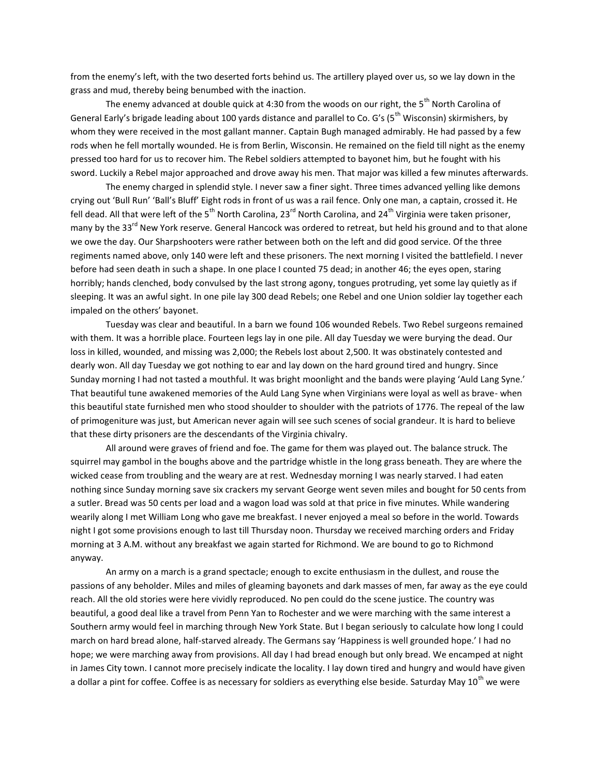from the enemy's left, with the two deserted forts behind us. The artillery played over us, so we lay down in the grass and mud, thereby being benumbed with the inaction.

The enemy advanced at double quick at 4:30 from the woods on our right, the 5<sup>th</sup> North Carolina of General Early's brigade leading about 100 yards distance and parallel to Co. G's ( $5^{th}$  Wisconsin) skirmishers, by whom they were received in the most gallant manner. Captain Bugh managed admirably. He had passed by a few rods when he fell mortally wounded. He is from Berlin, Wisconsin. He remained on the field till night as the enemy pressed too hard for us to recover him. The Rebel soldiers attempted to bayonet him, but he fought with his sword. Luckily a Rebel major approached and drove away his men. That major was killed a few minutes afterwards.

The enemy charged in splendid style. I never saw a finer sight. Three times advanced yelling like demons crying out 'Bull Run' 'Ball's Bluff' Eight rods in front of us was a rail fence. Only one man, a captain, crossed it. He fell dead. All that were left of the 5<sup>th</sup> North Carolina, 23<sup>rd</sup> North Carolina, and 24<sup>th</sup> Virginia were taken prisoner, many by the 33<sup>rd</sup> New York reserve. General Hancock was ordered to retreat, but held his ground and to that alone we owe the day. Our Sharpshooters were rather between both on the left and did good service. Of the three regiments named above, only 140 were left and these prisoners. The next morning I visited the battlefield. I never before had seen death in such a shape. In one place I counted 75 dead; in another 46; the eyes open, staring horribly; hands clenched, body convulsed by the last strong agony, tongues protruding, yet some lay quietly as if sleeping. It was an awful sight. In one pile lay 300 dead Rebels; one Rebel and one Union soldier lay together each impaled on the others' bayonet.

Tuesday was clear and beautiful. In a barn we found 106 wounded Rebels. Two Rebel surgeons remained with them. It was a horrible place. Fourteen legs lay in one pile. All day Tuesday we were burying the dead. Our loss in killed, wounded, and missing was 2,000; the Rebels lost about 2,500. It was obstinately contested and dearly won. All day Tuesday we got nothing to ear and lay down on the hard ground tired and hungry. Since Sunday morning I had not tasted a mouthful. It was bright moonlight and the bands were playing 'Auld Lang Syne.' That beautiful tune awakened memories of the Auld Lang Syne when Virginians were loyal as well as brave- when this beautiful state furnished men who stood shoulder to shoulder with the patriots of 1776. The repeal of the law of primogeniture was just, but American never again will see such scenes of social grandeur. It is hard to believe that these dirty prisoners are the descendants of the Virginia chivalry.

All around were graves of friend and foe. The game for them was played out. The balance struck. The squirrel may gambol in the boughs above and the partridge whistle in the long grass beneath. They are where the wicked cease from troubling and the weary are at rest. Wednesday morning I was nearly starved. I had eaten nothing since Sunday morning save six crackers my servant George went seven miles and bought for 50 cents from a sutler. Bread was 50 cents per load and a wagon load was sold at that price in five minutes. While wandering wearily along I met William Long who gave me breakfast. I never enjoyed a meal so before in the world. Towards night I got some provisions enough to last till Thursday noon. Thursday we received marching orders and Friday morning at 3 A.M. without any breakfast we again started for Richmond. We are bound to go to Richmond anyway.

An army on a march is a grand spectacle; enough to excite enthusiasm in the dullest, and rouse the passions of any beholder. Miles and miles of gleaming bayonets and dark masses of men, far away as the eye could reach. All the old stories were here vividly reproduced. No pen could do the scene justice. The country was beautiful, a good deal like a travel from Penn Yan to Rochester and we were marching with the same interest a Southern army would feel in marching through New York State. But I began seriously to calculate how long I could march on hard bread alone, half-starved already. The Germans say 'Happiness is well grounded hope.' I had no hope; we were marching away from provisions. All day I had bread enough but only bread. We encamped at night in James City town. I cannot more precisely indicate the locality. I lay down tired and hungry and would have given a dollar a pint for coffee. Coffee is as necessary for soldiers as everything else beside. Saturday May 10<sup>th</sup> we were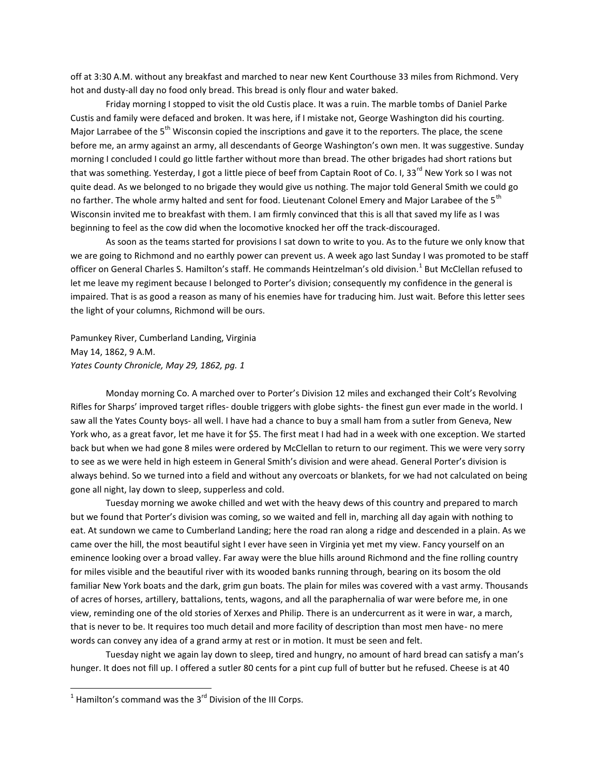off at 3:30 A.M. without any breakfast and marched to near new Kent Courthouse 33 miles from Richmond. Very hot and dusty-all day no food only bread. This bread is only flour and water baked.

Friday morning I stopped to visit the old Custis place. It was a ruin. The marble tombs of Daniel Parke Custis and family were defaced and broken. It was here, if I mistake not, George Washington did his courting. Major Larrabee of the 5<sup>th</sup> Wisconsin copied the inscriptions and gave it to the reporters. The place, the scene before me, an army against an army, all descendants of George Washington's own men. It was suggestive. Sunday morning I concluded I could go little farther without more than bread. The other brigades had short rations but that was something. Yesterday, I got a little piece of beef from Captain Root of Co. I, 33<sup>rd</sup> New York so I was not quite dead. As we belonged to no brigade they would give us nothing. The major told General Smith we could go no farther. The whole army halted and sent for food. Lieutenant Colonel Emery and Major Larabee of the 5<sup>th</sup> Wisconsin invited me to breakfast with them. I am firmly convinced that this is all that saved my life as I was beginning to feel as the cow did when the locomotive knocked her off the track-discouraged.

As soon as the teams started for provisions I sat down to write to you. As to the future we only know that we are going to Richmond and no earthly power can prevent us. A week ago last Sunday I was promoted to be staff officer on General Charles S. Hamilton's staff. He commands Heintzelman's old division.<sup>1</sup> But McClellan refused to let me leave my regiment because I belonged to Porter's division; consequently my confidence in the general is impaired. That is as good a reason as many of his enemies have for traducing him. Just wait. Before this letter sees the light of your columns, Richmond will be ours.

Pamunkey River, Cumberland Landing, Virginia May 14, 1862, 9 A.M. *Yates County Chronicle, May 29, 1862, pg. 1*

Monday morning Co. A marched over to Porter's Division 12 miles and exchanged their Colt's Revolving Rifles for Sharps' improved target rifles- double triggers with globe sights- the finest gun ever made in the world. I saw all the Yates County boys- all well. I have had a chance to buy a small ham from a sutler from Geneva, New York who, as a great favor, let me have it for \$5. The first meat I had had in a week with one exception. We started back but when we had gone 8 miles were ordered by McClellan to return to our regiment. This we were very sorry to see as we were held in high esteem in General Smith's division and were ahead. General Porter's division is always behind. So we turned into a field and without any overcoats or blankets, for we had not calculated on being gone all night, lay down to sleep, supperless and cold.

Tuesday morning we awoke chilled and wet with the heavy dews of this country and prepared to march but we found that Porter's division was coming, so we waited and fell in, marching all day again with nothing to eat. At sundown we came to Cumberland Landing; here the road ran along a ridge and descended in a plain. As we came over the hill, the most beautiful sight I ever have seen in Virginia yet met my view. Fancy yourself on an eminence looking over a broad valley. Far away were the blue hills around Richmond and the fine rolling country for miles visible and the beautiful river with its wooded banks running through, bearing on its bosom the old familiar New York boats and the dark, grim gun boats. The plain for miles was covered with a vast army. Thousands of acres of horses, artillery, battalions, tents, wagons, and all the paraphernalia of war were before me, in one view, reminding one of the old stories of Xerxes and Philip. There is an undercurrent as it were in war, a march, that is never to be. It requires too much detail and more facility of description than most men have- no mere words can convey any idea of a grand army at rest or in motion. It must be seen and felt.

Tuesday night we again lay down to sleep, tired and hungry, no amount of hard bread can satisfy a man's hunger. It does not fill up. I offered a sutler 80 cents for a pint cup full of butter but he refused. Cheese is at 40

 $\frac{1}{1}$  Hamilton's command was the 3<sup>rd</sup> Division of the III Corps.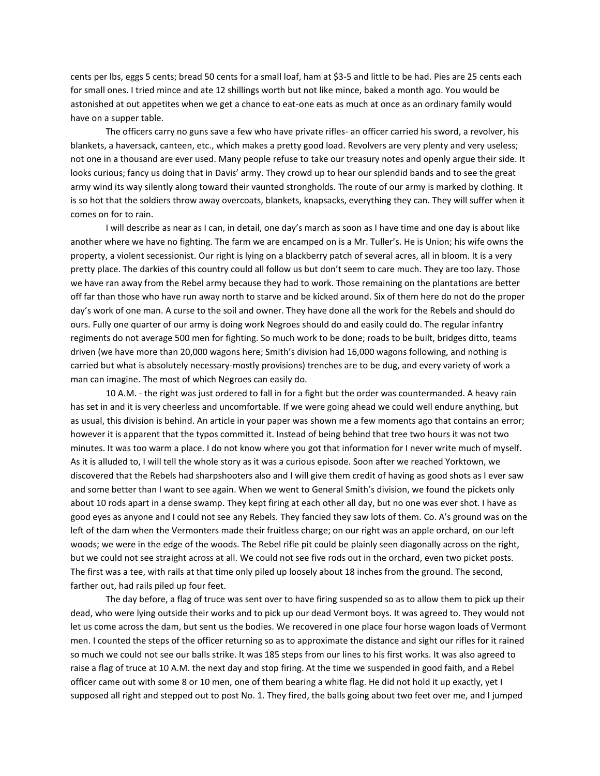cents per lbs, eggs 5 cents; bread 50 cents for a small loaf, ham at \$3-5 and little to be had. Pies are 25 cents each for small ones. I tried mince and ate 12 shillings worth but not like mince, baked a month ago. You would be astonished at out appetites when we get a chance to eat-one eats as much at once as an ordinary family would have on a supper table.

The officers carry no guns save a few who have private rifles- an officer carried his sword, a revolver, his blankets, a haversack, canteen, etc., which makes a pretty good load. Revolvers are very plenty and very useless; not one in a thousand are ever used. Many people refuse to take our treasury notes and openly argue their side. It looks curious; fancy us doing that in Davis' army. They crowd up to hear our splendid bands and to see the great army wind its way silently along toward their vaunted strongholds. The route of our army is marked by clothing. It is so hot that the soldiers throw away overcoats, blankets, knapsacks, everything they can. They will suffer when it comes on for to rain.

I will describe as near as I can, in detail, one day's march as soon as I have time and one day is about like another where we have no fighting. The farm we are encamped on is a Mr. Tuller's. He is Union; his wife owns the property, a violent secessionist. Our right is lying on a blackberry patch of several acres, all in bloom. It is a very pretty place. The darkies of this country could all follow us but don't seem to care much. They are too lazy. Those we have ran away from the Rebel army because they had to work. Those remaining on the plantations are better off far than those who have run away north to starve and be kicked around. Six of them here do not do the proper day's work of one man. A curse to the soil and owner. They have done all the work for the Rebels and should do ours. Fully one quarter of our army is doing work Negroes should do and easily could do. The regular infantry regiments do not average 500 men for fighting. So much work to be done; roads to be built, bridges ditto, teams driven (we have more than 20,000 wagons here; Smith's division had 16,000 wagons following, and nothing is carried but what is absolutely necessary-mostly provisions) trenches are to be dug, and every variety of work a man can imagine. The most of which Negroes can easily do.

10 A.M. - the right was just ordered to fall in for a fight but the order was countermanded. A heavy rain has set in and it is very cheerless and uncomfortable. If we were going ahead we could well endure anything, but as usual, this division is behind. An article in your paper was shown me a few moments ago that contains an error; however it is apparent that the typos committed it. Instead of being behind that tree two hours it was not two minutes. It was too warm a place. I do not know where you got that information for I never write much of myself. As it is alluded to, I will tell the whole story as it was a curious episode. Soon after we reached Yorktown, we discovered that the Rebels had sharpshooters also and I will give them credit of having as good shots as I ever saw and some better than I want to see again. When we went to General Smith's division, we found the pickets only about 10 rods apart in a dense swamp. They kept firing at each other all day, but no one was ever shot. I have as good eyes as anyone and I could not see any Rebels. They fancied they saw lots of them. Co. A's ground was on the left of the dam when the Vermonters made their fruitless charge; on our right was an apple orchard, on our left woods; we were in the edge of the woods. The Rebel rifle pit could be plainly seen diagonally across on the right, but we could not see straight across at all. We could not see five rods out in the orchard, even two picket posts. The first was a tee, with rails at that time only piled up loosely about 18 inches from the ground. The second, farther out, had rails piled up four feet.

The day before, a flag of truce was sent over to have firing suspended so as to allow them to pick up their dead, who were lying outside their works and to pick up our dead Vermont boys. It was agreed to. They would not let us come across the dam, but sent us the bodies. We recovered in one place four horse wagon loads of Vermont men. I counted the steps of the officer returning so as to approximate the distance and sight our rifles for it rained so much we could not see our balls strike. It was 185 steps from our lines to his first works. It was also agreed to raise a flag of truce at 10 A.M. the next day and stop firing. At the time we suspended in good faith, and a Rebel officer came out with some 8 or 10 men, one of them bearing a white flag. He did not hold it up exactly, yet I supposed all right and stepped out to post No. 1. They fired, the balls going about two feet over me, and I jumped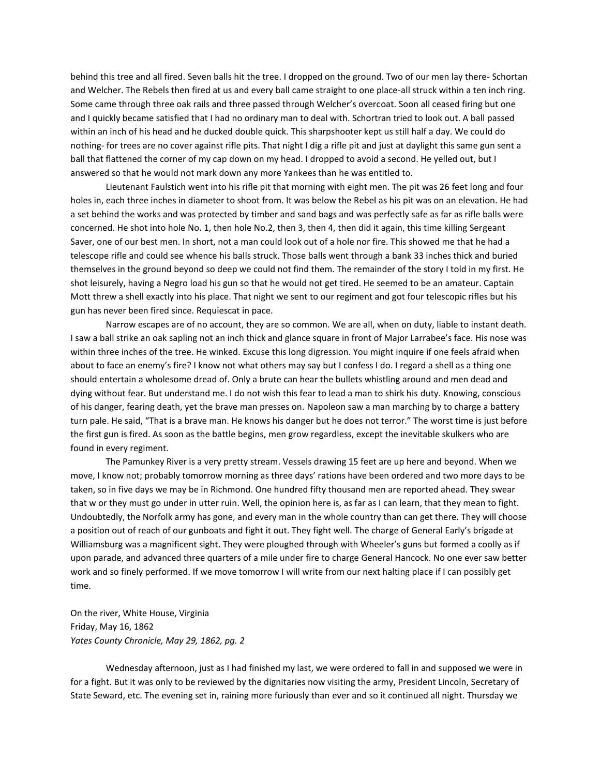behind this tree and all fired. Seven balls hit the tree. I dropped on the ground. Two of our men lay there- Schortan and Welcher. The Rebels then fired at us and every ball came straight to one place-all struck within a ten inch ring. Some came through three oak rails and three passed through Welcher's overcoat. Soon all ceased firing but one and I quickly became satisfied that I had no ordinary man to deal with. Schortran tried to look out. A ball passed within an inch of his head and he ducked double quick. This sharpshooter kept us still half a day. We could do nothing- for trees are no cover against rifle pits. That night I dig a rifle pit and just at daylight this same gun sent a ball that flattened the corner of my cap down on my head. I dropped to avoid a second. He yelled out, but I answered so that he would not mark down any more Yankees than he was entitled to.

Lieutenant Faulstich went into his rifle pit that morning with eight men. The pit was 26 feet long and four holes in, each three inches in diameter to shoot from. It was below the Rebel as his pit was on an elevation. He had a set behind the works and was protected by timber and sand bags and was perfectly safe as far as rifle balls were concerned. He shot into hole No. 1, then hole No.2, then 3, then 4, then did it again, this time killing Sergeant Saver, one of our best men. In short, not a man could look out of a hole nor fire. This showed me that he had a telescope rifle and could see whence his balls struck. Those balls went through a bank 33 inches thick and buried themselves in the ground beyond so deep we could not find them. The remainder of the story I told in my first. He shot leisurely, having a Negro load his gun so that he would not get tired. He seemed to be an amateur. Captain Mott threw a shell exactly into his place. That night we sent to our regiment and got four telescopic rifles but his gun has never been fired since. Requiescat in pace.

Narrow escapes are of no account, they are so common. We are all, when on duty, liable to instant death. I saw a ball strike an oak sapling not an inch thick and glance square in front of Major Larrabee's face. His nose was within three inches of the tree. He winked. Excuse this long digression. You might inquire if one feels afraid when about to face an enemy's fire? I know not what others may say but I confess I do. I regard a shell as a thing one should entertain a wholesome dread of. Only a brute can hear the bullets whistling around and men dead and dying without fear. But understand me. I do not wish this fear to lead a man to shirk his duty. Knowing, conscious of his danger, fearing death, yet the brave man presses on. Napoleon saw a man marching by to charge a battery turn pale. He said, "That is a brave man. He knows his danger but he does not terror." The worst time is just before the first gun is fired. As soon as the battle begins, men grow regardless, except the inevitable skulkers who are found in every regiment.

The Pamunkey River is a very pretty stream. Vessels drawing 15 feet are up here and beyond. When we move, I know not; probably tomorrow morning as three days' rations have been ordered and two more days to be taken, so in five days we may be in Richmond. One hundred fifty thousand men are reported ahead. They swear that w or they must go under in utter ruin. Well, the opinion here is, as far as I can learn, that they mean to fight. Undoubtedly, the Norfolk army has gone, and every man in the whole country than can get there. They will choose a position out of reach of our gunboats and fight it out. They fight well. The charge of General Early's brigade at Williamsburg was a magnificent sight. They were ploughed through with Wheeler's guns but formed a coolly as if upon parade, and advanced three quarters of a mile under fire to charge General Hancock. No one ever saw better work and so finely performed. If we move tomorrow I will write from our next halting place if I can possibly get time.

On the river, White House, Virginia Friday, May 16, 1862 *Yates County Chronicle, May 29, 1862, pg. 2*

Wednesday afternoon, just as I had finished my last, we were ordered to fall in and supposed we were in for a fight. But it was only to be reviewed by the dignitaries now visiting the army, President Lincoln, Secretary of State Seward, etc. The evening set in, raining more furiously than ever and so it continued all night. Thursday we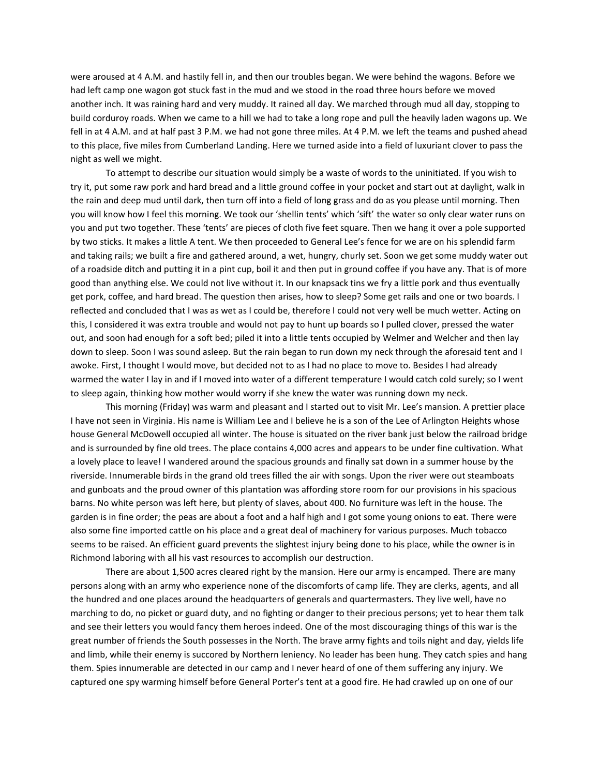were aroused at 4 A.M. and hastily fell in, and then our troubles began. We were behind the wagons. Before we had left camp one wagon got stuck fast in the mud and we stood in the road three hours before we moved another inch. It was raining hard and very muddy. It rained all day. We marched through mud all day, stopping to build corduroy roads. When we came to a hill we had to take a long rope and pull the heavily laden wagons up. We fell in at 4 A.M. and at half past 3 P.M. we had not gone three miles. At 4 P.M. we left the teams and pushed ahead to this place, five miles from Cumberland Landing. Here we turned aside into a field of luxuriant clover to pass the night as well we might.

To attempt to describe our situation would simply be a waste of words to the uninitiated. If you wish to try it, put some raw pork and hard bread and a little ground coffee in your pocket and start out at daylight, walk in the rain and deep mud until dark, then turn off into a field of long grass and do as you please until morning. Then you will know how I feel this morning. We took our 'shellin tents' which 'sift' the water so only clear water runs on you and put two together. These 'tents' are pieces of cloth five feet square. Then we hang it over a pole supported by two sticks. It makes a little A tent. We then proceeded to General Lee's fence for we are on his splendid farm and taking rails; we built a fire and gathered around, a wet, hungry, churly set. Soon we get some muddy water out of a roadside ditch and putting it in a pint cup, boil it and then put in ground coffee if you have any. That is of more good than anything else. We could not live without it. In our knapsack tins we fry a little pork and thus eventually get pork, coffee, and hard bread. The question then arises, how to sleep? Some get rails and one or two boards. I reflected and concluded that I was as wet as I could be, therefore I could not very well be much wetter. Acting on this, I considered it was extra trouble and would not pay to hunt up boards so I pulled clover, pressed the water out, and soon had enough for a soft bed; piled it into a little tents occupied by Welmer and Welcher and then lay down to sleep. Soon I was sound asleep. But the rain began to run down my neck through the aforesaid tent and I awoke. First, I thought I would move, but decided not to as I had no place to move to. Besides I had already warmed the water I lay in and if I moved into water of a different temperature I would catch cold surely; so I went to sleep again, thinking how mother would worry if she knew the water was running down my neck.

This morning (Friday) was warm and pleasant and I started out to visit Mr. Lee's mansion. A prettier place I have not seen in Virginia. His name is William Lee and I believe he is a son of the Lee of Arlington Heights whose house General McDowell occupied all winter. The house is situated on the river bank just below the railroad bridge and is surrounded by fine old trees. The place contains 4,000 acres and appears to be under fine cultivation. What a lovely place to leave! I wandered around the spacious grounds and finally sat down in a summer house by the riverside. Innumerable birds in the grand old trees filled the air with songs. Upon the river were out steamboats and gunboats and the proud owner of this plantation was affording store room for our provisions in his spacious barns. No white person was left here, but plenty of slaves, about 400. No furniture was left in the house. The garden is in fine order; the peas are about a foot and a half high and I got some young onions to eat. There were also some fine imported cattle on his place and a great deal of machinery for various purposes. Much tobacco seems to be raised. An efficient guard prevents the slightest injury being done to his place, while the owner is in Richmond laboring with all his vast resources to accomplish our destruction.

There are about 1,500 acres cleared right by the mansion. Here our army is encamped. There are many persons along with an army who experience none of the discomforts of camp life. They are clerks, agents, and all the hundred and one places around the headquarters of generals and quartermasters. They live well, have no marching to do, no picket or guard duty, and no fighting or danger to their precious persons; yet to hear them talk and see their letters you would fancy them heroes indeed. One of the most discouraging things of this war is the great number of friends the South possesses in the North. The brave army fights and toils night and day, yields life and limb, while their enemy is succored by Northern leniency. No leader has been hung. They catch spies and hang them. Spies innumerable are detected in our camp and I never heard of one of them suffering any injury. We captured one spy warming himself before General Porter's tent at a good fire. He had crawled up on one of our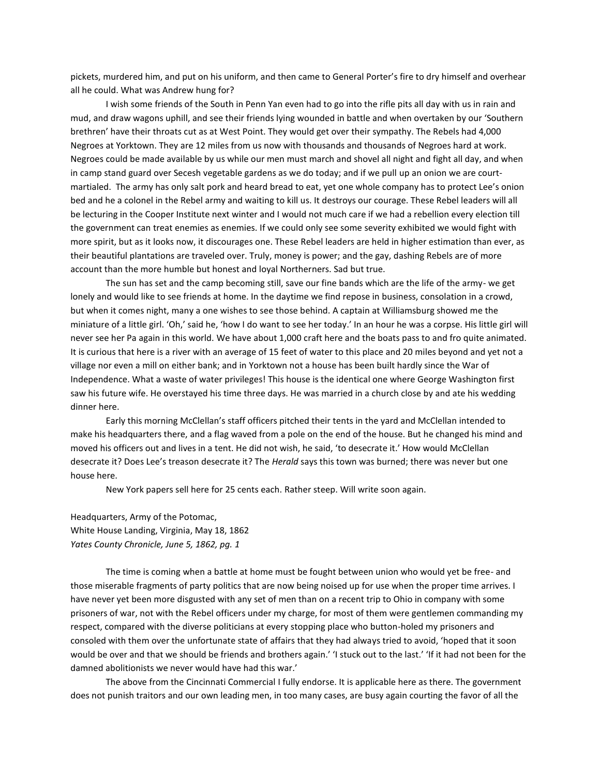pickets, murdered him, and put on his uniform, and then came to General Porter's fire to dry himself and overhear all he could. What was Andrew hung for?

I wish some friends of the South in Penn Yan even had to go into the rifle pits all day with us in rain and mud, and draw wagons uphill, and see their friends lying wounded in battle and when overtaken by our 'Southern brethren' have their throats cut as at West Point. They would get over their sympathy. The Rebels had 4,000 Negroes at Yorktown. They are 12 miles from us now with thousands and thousands of Negroes hard at work. Negroes could be made available by us while our men must march and shovel all night and fight all day, and when in camp stand guard over Secesh vegetable gardens as we do today; and if we pull up an onion we are courtmartialed. The army has only salt pork and heard bread to eat, yet one whole company has to protect Lee's onion bed and he a colonel in the Rebel army and waiting to kill us. It destroys our courage. These Rebel leaders will all be lecturing in the Cooper Institute next winter and I would not much care if we had a rebellion every election till the government can treat enemies as enemies. If we could only see some severity exhibited we would fight with more spirit, but as it looks now, it discourages one. These Rebel leaders are held in higher estimation than ever, as their beautiful plantations are traveled over. Truly, money is power; and the gay, dashing Rebels are of more account than the more humble but honest and loyal Northerners. Sad but true.

The sun has set and the camp becoming still, save our fine bands which are the life of the army- we get lonely and would like to see friends at home. In the daytime we find repose in business, consolation in a crowd, but when it comes night, many a one wishes to see those behind. A captain at Williamsburg showed me the miniature of a little girl. 'Oh,' said he, 'how I do want to see her today.' In an hour he was a corpse. His little girl will never see her Pa again in this world. We have about 1,000 craft here and the boats pass to and fro quite animated. It is curious that here is a river with an average of 15 feet of water to this place and 20 miles beyond and yet not a village nor even a mill on either bank; and in Yorktown not a house has been built hardly since the War of Independence. What a waste of water privileges! This house is the identical one where George Washington first saw his future wife. He overstayed his time three days. He was married in a church close by and ate his wedding dinner here.

Early this morning McClellan's staff officers pitched their tents in the yard and McClellan intended to make his headquarters there, and a flag waved from a pole on the end of the house. But he changed his mind and moved his officers out and lives in a tent. He did not wish, he said, 'to desecrate it.' How would McClellan desecrate it? Does Lee's treason desecrate it? The *Herald* says this town was burned; there was never but one house here.

New York papers sell here for 25 cents each. Rather steep. Will write soon again.

Headquarters, Army of the Potomac, White House Landing, Virginia, May 18, 1862 *Yates County Chronicle, June 5, 1862, pg. 1*

The time is coming when a battle at home must be fought between union who would yet be free- and those miserable fragments of party politics that are now being noised up for use when the proper time arrives. I have never yet been more disgusted with any set of men than on a recent trip to Ohio in company with some prisoners of war, not with the Rebel officers under my charge, for most of them were gentlemen commanding my respect, compared with the diverse politicians at every stopping place who button-holed my prisoners and consoled with them over the unfortunate state of affairs that they had always tried to avoid, 'hoped that it soon would be over and that we should be friends and brothers again.' 'I stuck out to the last.' 'If it had not been for the damned abolitionists we never would have had this war.'

The above from the Cincinnati Commercial I fully endorse. It is applicable here as there. The government does not punish traitors and our own leading men, in too many cases, are busy again courting the favor of all the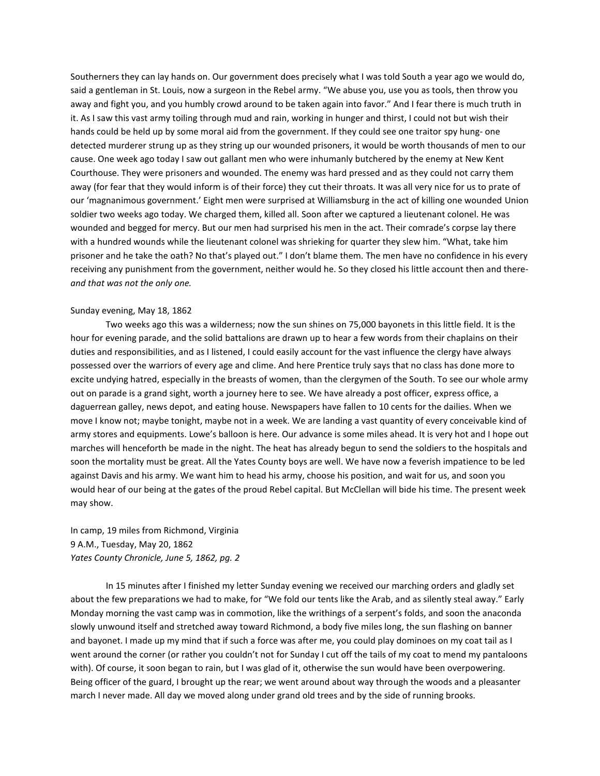Southerners they can lay hands on. Our government does precisely what I was told South a year ago we would do, said a gentleman in St. Louis, now a surgeon in the Rebel army. "We abuse you, use you as tools, then throw you away and fight you, and you humbly crowd around to be taken again into favor." And I fear there is much truth in it. As I saw this vast army toiling through mud and rain, working in hunger and thirst, I could not but wish their hands could be held up by some moral aid from the government. If they could see one traitor spy hung- one detected murderer strung up as they string up our wounded prisoners, it would be worth thousands of men to our cause. One week ago today I saw out gallant men who were inhumanly butchered by the enemy at New Kent Courthouse. They were prisoners and wounded. The enemy was hard pressed and as they could not carry them away (for fear that they would inform is of their force) they cut their throats. It was all very nice for us to prate of our 'magnanimous government.' Eight men were surprised at Williamsburg in the act of killing one wounded Union soldier two weeks ago today. We charged them, killed all. Soon after we captured a lieutenant colonel. He was wounded and begged for mercy. But our men had surprised his men in the act. Their comrade's corpse lay there with a hundred wounds while the lieutenant colonel was shrieking for quarter they slew him. "What, take him prisoner and he take the oath? No that's played out." I don't blame them. The men have no confidence in his every receiving any punishment from the government, neither would he. So they closed his little account then and there*and that was not the only one.*

#### Sunday evening, May 18, 1862

Two weeks ago this was a wilderness; now the sun shines on 75,000 bayonets in this little field. It is the hour for evening parade, and the solid battalions are drawn up to hear a few words from their chaplains on their duties and responsibilities, and as I listened, I could easily account for the vast influence the clergy have always possessed over the warriors of every age and clime. And here Prentice truly says that no class has done more to excite undying hatred, especially in the breasts of women, than the clergymen of the South. To see our whole army out on parade is a grand sight, worth a journey here to see. We have already a post officer, express office, a daguerrean galley, news depot, and eating house. Newspapers have fallen to 10 cents for the dailies. When we move I know not; maybe tonight, maybe not in a week. We are landing a vast quantity of every conceivable kind of army stores and equipments. Lowe's balloon is here. Our advance is some miles ahead. It is very hot and I hope out marches will henceforth be made in the night. The heat has already begun to send the soldiers to the hospitals and soon the mortality must be great. All the Yates County boys are well. We have now a feverish impatience to be led against Davis and his army. We want him to head his army, choose his position, and wait for us, and soon you would hear of our being at the gates of the proud Rebel capital. But McClellan will bide his time. The present week may show.

In camp, 19 miles from Richmond, Virginia 9 A.M., Tuesday, May 20, 1862 *Yates County Chronicle, June 5, 1862, pg. 2*

In 15 minutes after I finished my letter Sunday evening we received our marching orders and gladly set about the few preparations we had to make, for "We fold our tents like the Arab, and as silently steal away." Early Monday morning the vast camp was in commotion, like the writhings of a serpent's folds, and soon the anaconda slowly unwound itself and stretched away toward Richmond, a body five miles long, the sun flashing on banner and bayonet. I made up my mind that if such a force was after me, you could play dominoes on my coat tail as I went around the corner (or rather you couldn't not for Sunday I cut off the tails of my coat to mend my pantaloons with). Of course, it soon began to rain, but I was glad of it, otherwise the sun would have been overpowering. Being officer of the guard, I brought up the rear; we went around about way through the woods and a pleasanter march I never made. All day we moved along under grand old trees and by the side of running brooks.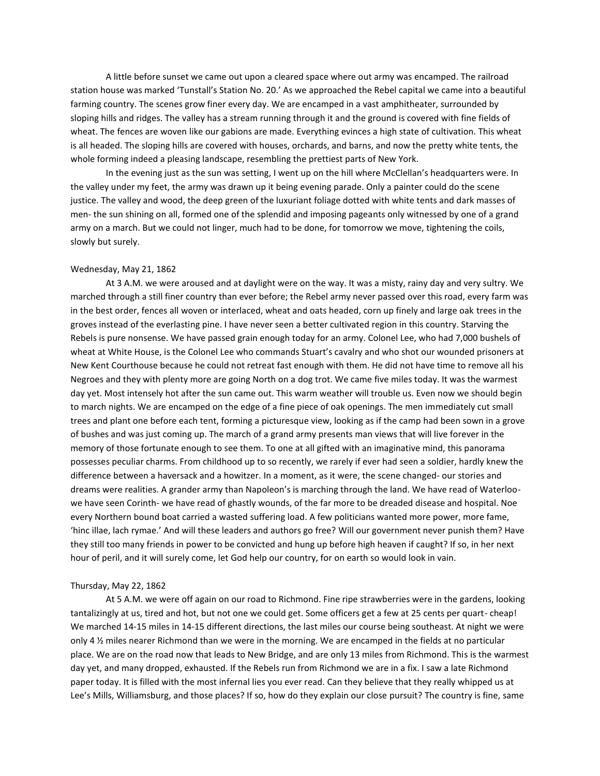A little before sunset we came out upon a cleared space where out army was encamped. The railroad station house was marked 'Tunstall's Station No. 20.' As we approached the Rebel capital we came into a beautiful farming country. The scenes grow finer every day. We are encamped in a vast amphitheater, surrounded by sloping hills and ridges. The valley has a stream running through it and the ground is covered with fine fields of wheat. The fences are woven like our gabions are made. Everything evinces a high state of cultivation. This wheat is all headed. The sloping hills are covered with houses, orchards, and barns, and now the pretty white tents, the whole forming indeed a pleasing landscape, resembling the prettiest parts of New York.

In the evening just as the sun was setting, I went up on the hill where McClellan's headquarters were. In the valley under my feet, the army was drawn up it being evening parade. Only a painter could do the scene justice. The valley and wood, the deep green of the luxuriant foliage dotted with white tents and dark masses of men- the sun shining on all, formed one of the splendid and imposing pageants only witnessed by one of a grand army on a march. But we could not linger, much had to be done, for tomorrow we move, tightening the coils, slowly but surely.

# Wednesday, May 21, 1862

At 3 A.M. we were aroused and at daylight were on the way. It was a misty, rainy day and very sultry. We marched through a still finer country than ever before; the Rebel army never passed over this road, every farm was in the best order, fences all woven or interlaced, wheat and oats headed, corn up finely and large oak trees in the groves instead of the everlasting pine. I have never seen a better cultivated region in this country. Starving the Rebels is pure nonsense. We have passed grain enough today for an army. Colonel Lee, who had 7,000 bushels of wheat at White House, is the Colonel Lee who commands Stuart's cavalry and who shot our wounded prisoners at New Kent Courthouse because he could not retreat fast enough with them. He did not have time to remove all his Negroes and they with plenty more are going North on a dog trot. We came five miles today. It was the warmest day yet. Most intensely hot after the sun came out. This warm weather will trouble us. Even now we should begin to march nights. We are encamped on the edge of a fine piece of oak openings. The men immediately cut small trees and plant one before each tent, forming a picturesque view, looking as if the camp had been sown in a grove of bushes and was just coming up. The march of a grand army presents man views that will live forever in the memory of those fortunate enough to see them. To one at all gifted with an imaginative mind, this panorama possesses peculiar charms. From childhood up to so recently, we rarely if ever had seen a soldier, hardly knew the difference between a haversack and a howitzer. In a moment, as it were, the scene changed- our stories and dreams were realities. A grander army than Napoleon's is marching through the land. We have read of Waterloowe have seen Corinth- we have read of ghastly wounds, of the far more to be dreaded disease and hospital. Noe every Northern bound boat carried a wasted suffering load. A few politicians wanted more power, more fame, 'hinc illae, lach rymae.' And will these leaders and authors go free? Will our government never punish them? Have they still too many friends in power to be convicted and hung up before high heaven if caught? If so, in her next hour of peril, and it will surely come, let God help our country, for on earth so would look in vain.

#### Thursday, May 22, 1862

At 5 A.M. we were off again on our road to Richmond. Fine ripe strawberries were in the gardens, looking tantalizingly at us, tired and hot, but not one we could get. Some officers get a few at 25 cents per quart- cheap! We marched 14-15 miles in 14-15 different directions, the last miles our course being southeast. At night we were only 4 ½ miles nearer Richmond than we were in the morning. We are encamped in the fields at no particular place. We are on the road now that leads to New Bridge, and are only 13 miles from Richmond. This is the warmest day yet, and many dropped, exhausted. If the Rebels run from Richmond we are in a fix. I saw a late Richmond paper today. It is filled with the most infernal lies you ever read. Can they believe that they really whipped us at Lee's Mills, Williamsburg, and those places? If so, how do they explain our close pursuit? The country is fine, same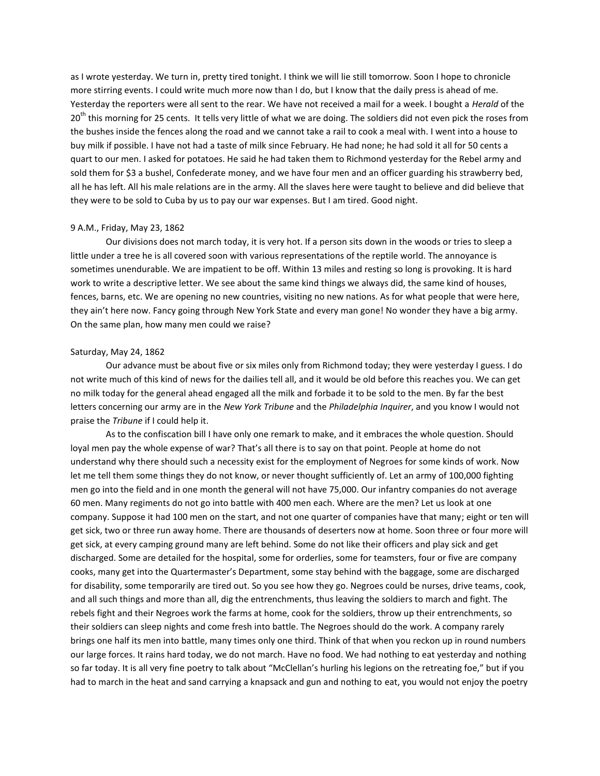as I wrote yesterday. We turn in, pretty tired tonight. I think we will lie still tomorrow. Soon I hope to chronicle more stirring events. I could write much more now than I do, but I know that the daily press is ahead of me. Yesterday the reporters were all sent to the rear. We have not received a mail for a week. I bought a *Herald* of the 20<sup>th</sup> this morning for 25 cents. It tells very little of what we are doing. The soldiers did not even pick the roses from the bushes inside the fences along the road and we cannot take a rail to cook a meal with. I went into a house to buy milk if possible. I have not had a taste of milk since February. He had none; he had sold it all for 50 cents a quart to our men. I asked for potatoes. He said he had taken them to Richmond yesterday for the Rebel army and sold them for \$3 a bushel, Confederate money, and we have four men and an officer guarding his strawberry bed, all he has left. All his male relations are in the army. All the slaves here were taught to believe and did believe that they were to be sold to Cuba by us to pay our war expenses. But I am tired. Good night.

#### 9 A.M., Friday, May 23, 1862

Our divisions does not march today, it is very hot. If a person sits down in the woods or tries to sleep a little under a tree he is all covered soon with various representations of the reptile world. The annoyance is sometimes unendurable. We are impatient to be off. Within 13 miles and resting so long is provoking. It is hard work to write a descriptive letter. We see about the same kind things we always did, the same kind of houses, fences, barns, etc. We are opening no new countries, visiting no new nations. As for what people that were here, they ain't here now. Fancy going through New York State and every man gone! No wonder they have a big army. On the same plan, how many men could we raise?

# Saturday, May 24, 1862

Our advance must be about five or six miles only from Richmond today; they were yesterday I guess. I do not write much of this kind of news for the dailies tell all, and it would be old before this reaches you. We can get no milk today for the general ahead engaged all the milk and forbade it to be sold to the men. By far the best letters concerning our army are in the *New York Tribune* and the *Philadelphia Inquirer*, and you know I would not praise the *Tribune* if I could help it.

As to the confiscation bill I have only one remark to make, and it embraces the whole question. Should loyal men pay the whole expense of war? That's all there is to say on that point. People at home do not understand why there should such a necessity exist for the employment of Negroes for some kinds of work. Now let me tell them some things they do not know, or never thought sufficiently of. Let an army of 100,000 fighting men go into the field and in one month the general will not have 75,000. Our infantry companies do not average 60 men. Many regiments do not go into battle with 400 men each. Where are the men? Let us look at one company. Suppose it had 100 men on the start, and not one quarter of companies have that many; eight or ten will get sick, two or three run away home. There are thousands of deserters now at home. Soon three or four more will get sick, at every camping ground many are left behind. Some do not like their officers and play sick and get discharged. Some are detailed for the hospital, some for orderlies, some for teamsters, four or five are company cooks, many get into the Quartermaster's Department, some stay behind with the baggage, some are discharged for disability, some temporarily are tired out. So you see how they go. Negroes could be nurses, drive teams, cook, and all such things and more than all, dig the entrenchments, thus leaving the soldiers to march and fight. The rebels fight and their Negroes work the farms at home, cook for the soldiers, throw up their entrenchments, so their soldiers can sleep nights and come fresh into battle. The Negroes should do the work. A company rarely brings one half its men into battle, many times only one third. Think of that when you reckon up in round numbers our large forces. It rains hard today, we do not march. Have no food. We had nothing to eat yesterday and nothing so far today. It is all very fine poetry to talk about "McClellan's hurling his legions on the retreating foe," but if you had to march in the heat and sand carrying a knapsack and gun and nothing to eat, you would not enjoy the poetry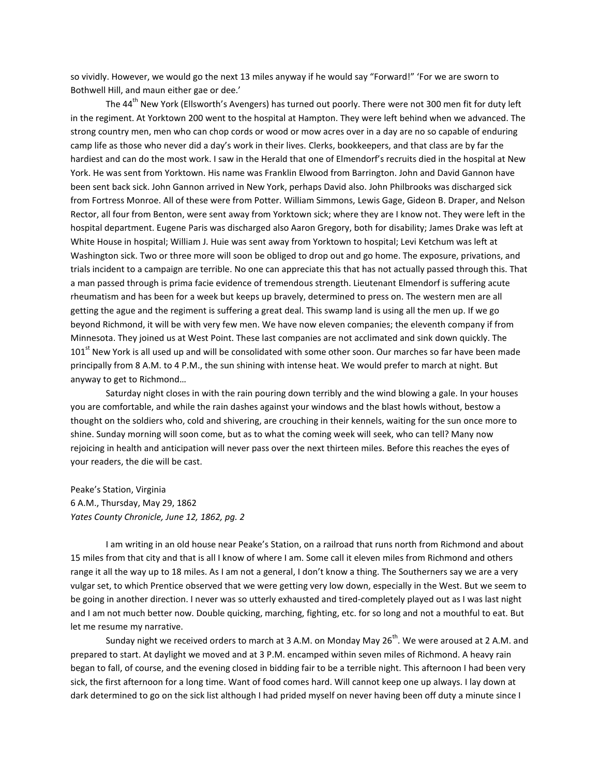so vividly. However, we would go the next 13 miles anyway if he would say "Forward!" 'For we are sworn to Bothwell Hill, and maun either gae or dee.'

The 44<sup>th</sup> New York (Ellsworth's Avengers) has turned out poorly. There were not 300 men fit for duty left in the regiment. At Yorktown 200 went to the hospital at Hampton. They were left behind when we advanced. The strong country men, men who can chop cords or wood or mow acres over in a day are no so capable of enduring camp life as those who never did a day's work in their lives. Clerks, bookkeepers, and that class are by far the hardiest and can do the most work. I saw in the Herald that one of Elmendorf's recruits died in the hospital at New York. He was sent from Yorktown. His name was Franklin Elwood from Barrington. John and David Gannon have been sent back sick. John Gannon arrived in New York, perhaps David also. John Philbrooks was discharged sick from Fortress Monroe. All of these were from Potter. William Simmons, Lewis Gage, Gideon B. Draper, and Nelson Rector, all four from Benton, were sent away from Yorktown sick; where they are I know not. They were left in the hospital department. Eugene Paris was discharged also Aaron Gregory, both for disability; James Drake was left at White House in hospital; William J. Huie was sent away from Yorktown to hospital; Levi Ketchum was left at Washington sick. Two or three more will soon be obliged to drop out and go home. The exposure, privations, and trials incident to a campaign are terrible. No one can appreciate this that has not actually passed through this. That a man passed through is prima facie evidence of tremendous strength. Lieutenant Elmendorf is suffering acute rheumatism and has been for a week but keeps up bravely, determined to press on. The western men are all getting the ague and the regiment is suffering a great deal. This swamp land is using all the men up. If we go beyond Richmond, it will be with very few men. We have now eleven companies; the eleventh company if from Minnesota. They joined us at West Point. These last companies are not acclimated and sink down quickly. The 101<sup>st</sup> New York is all used up and will be consolidated with some other soon. Our marches so far have been made principally from 8 A.M. to 4 P.M., the sun shining with intense heat. We would prefer to march at night. But anyway to get to Richmond…

Saturday night closes in with the rain pouring down terribly and the wind blowing a gale. In your houses you are comfortable, and while the rain dashes against your windows and the blast howls without, bestow a thought on the soldiers who, cold and shivering, are crouching in their kennels, waiting for the sun once more to shine. Sunday morning will soon come, but as to what the coming week will seek, who can tell? Many now rejoicing in health and anticipation will never pass over the next thirteen miles. Before this reaches the eyes of your readers, the die will be cast.

Peake's Station, Virginia 6 A.M., Thursday, May 29, 1862 *Yates County Chronicle, June 12, 1862, pg. 2*

I am writing in an old house near Peake's Station, on a railroad that runs north from Richmond and about 15 miles from that city and that is all I know of where I am. Some call it eleven miles from Richmond and others range it all the way up to 18 miles. As I am not a general, I don't know a thing. The Southerners say we are a very vulgar set, to which Prentice observed that we were getting very low down, especially in the West. But we seem to be going in another direction. I never was so utterly exhausted and tired-completely played out as I was last night and I am not much better now. Double quicking, marching, fighting, etc. for so long and not a mouthful to eat. But let me resume my narrative.

Sunday night we received orders to march at 3 A.M. on Monday May 26<sup>th</sup>. We were aroused at 2 A.M. and prepared to start. At daylight we moved and at 3 P.M. encamped within seven miles of Richmond. A heavy rain began to fall, of course, and the evening closed in bidding fair to be a terrible night. This afternoon I had been very sick, the first afternoon for a long time. Want of food comes hard. Will cannot keep one up always. I lay down at dark determined to go on the sick list although I had prided myself on never having been off duty a minute since I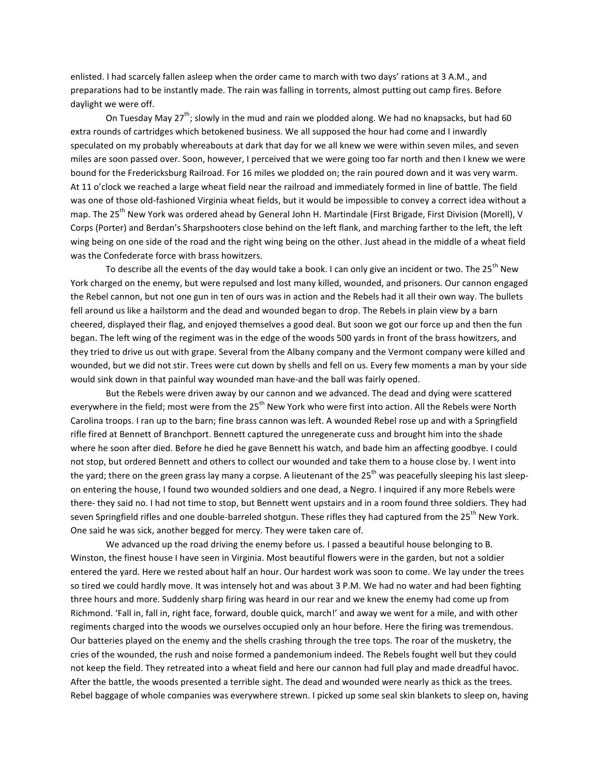enlisted. I had scarcely fallen asleep when the order came to march with two days' rations at 3 A.M., and preparations had to be instantly made. The rain was falling in torrents, almost putting out camp fires. Before daylight we were off.

On Tuesday May  $27^{th}$ ; slowly in the mud and rain we plodded along. We had no knapsacks, but had 60 extra rounds of cartridges which betokened business. We all supposed the hour had come and I inwardly speculated on my probably whereabouts at dark that day for we all knew we were within seven miles, and seven miles are soon passed over. Soon, however, I perceived that we were going too far north and then I knew we were bound for the Fredericksburg Railroad. For 16 miles we plodded on; the rain poured down and it was very warm. At 11 o'clock we reached a large wheat field near the railroad and immediately formed in line of battle. The field was one of those old-fashioned Virginia wheat fields, but it would be impossible to convey a correct idea without a map. The 25<sup>th</sup> New York was ordered ahead by General John H. Martindale (First Brigade, First Division (Morell), V Corps (Porter) and Berdan's Sharpshooters close behind on the left flank, and marching farther to the left, the left wing being on one side of the road and the right wing being on the other. Just ahead in the middle of a wheat field was the Confederate force with brass howitzers.

To describe all the events of the day would take a book. I can only give an incident or two. The 25<sup>th</sup> New York charged on the enemy, but were repulsed and lost many killed, wounded, and prisoners. Our cannon engaged the Rebel cannon, but not one gun in ten of ours was in action and the Rebels had it all their own way. The bullets fell around us like a hailstorm and the dead and wounded began to drop. The Rebels in plain view by a barn cheered, displayed their flag, and enjoyed themselves a good deal. But soon we got our force up and then the fun began. The left wing of the regiment was in the edge of the woods 500 yards in front of the brass howitzers, and they tried to drive us out with grape. Several from the Albany company and the Vermont company were killed and wounded, but we did not stir. Trees were cut down by shells and fell on us. Every few moments a man by your side would sink down in that painful way wounded man have-and the ball was fairly opened.

But the Rebels were driven away by our cannon and we advanced. The dead and dying were scattered everywhere in the field; most were from the 25<sup>th</sup> New York who were first into action. All the Rebels were North Carolina troops. I ran up to the barn; fine brass cannon was left. A wounded Rebel rose up and with a Springfield rifle fired at Bennett of Branchport. Bennett captured the unregenerate cuss and brought him into the shade where he soon after died. Before he died he gave Bennett his watch, and bade him an affecting goodbye. I could not stop, but ordered Bennett and others to collect our wounded and take them to a house close by. I went into the yard; there on the green grass lay many a corpse. A lieutenant of the  $25<sup>th</sup>$  was peacefully sleeping his last sleepon entering the house, I found two wounded soldiers and one dead, a Negro. I inquired if any more Rebels were there- they said no. I had not time to stop, but Bennett went upstairs and in a room found three soldiers. They had seven Springfield rifles and one double-barreled shotgun. These rifles they had captured from the 25<sup>th</sup> New York. One said he was sick, another begged for mercy. They were taken care of.

We advanced up the road driving the enemy before us. I passed a beautiful house belonging to B. Winston, the finest house I have seen in Virginia. Most beautiful flowers were in the garden, but not a soldier entered the yard. Here we rested about half an hour. Our hardest work was soon to come. We lay under the trees so tired we could hardly move. It was intensely hot and was about 3 P.M. We had no water and had been fighting three hours and more. Suddenly sharp firing was heard in our rear and we knew the enemy had come up from Richmond. 'Fall in, fall in, right face, forward, double quick, march!' and away we went for a mile, and with other regiments charged into the woods we ourselves occupied only an hour before. Here the firing was tremendous. Our batteries played on the enemy and the shells crashing through the tree tops. The roar of the musketry, the cries of the wounded, the rush and noise formed a pandemonium indeed. The Rebels fought well but they could not keep the field. They retreated into a wheat field and here our cannon had full play and made dreadful havoc. After the battle, the woods presented a terrible sight. The dead and wounded were nearly as thick as the trees. Rebel baggage of whole companies was everywhere strewn. I picked up some seal skin blankets to sleep on, having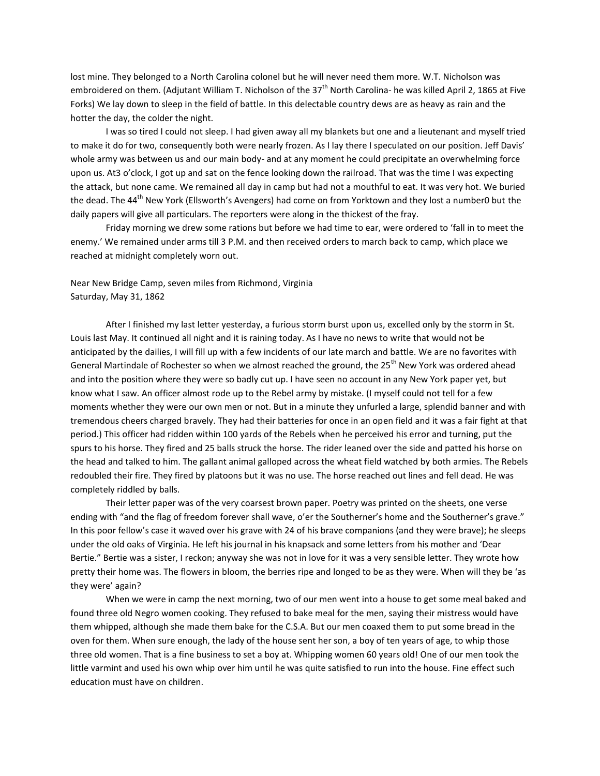lost mine. They belonged to a North Carolina colonel but he will never need them more. W.T. Nicholson was embroidered on them. (Adjutant William T. Nicholson of the  $37<sup>th</sup>$  North Carolina- he was killed April 2, 1865 at Five Forks) We lay down to sleep in the field of battle. In this delectable country dews are as heavy as rain and the hotter the day, the colder the night.

I was so tired I could not sleep. I had given away all my blankets but one and a lieutenant and myself tried to make it do for two, consequently both were nearly frozen. As I lay there I speculated on our position. Jeff Davis' whole army was between us and our main body- and at any moment he could precipitate an overwhelming force upon us. At3 o'clock, I got up and sat on the fence looking down the railroad. That was the time I was expecting the attack, but none came. We remained all day in camp but had not a mouthful to eat. It was very hot. We buried the dead. The 44<sup>th</sup> New York (Ellsworth's Avengers) had come on from Yorktown and they lost a number0 but the daily papers will give all particulars. The reporters were along in the thickest of the fray.

Friday morning we drew some rations but before we had time to ear, were ordered to 'fall in to meet the enemy.' We remained under arms till 3 P.M. and then received orders to march back to camp, which place we reached at midnight completely worn out.

# Near New Bridge Camp, seven miles from Richmond, Virginia Saturday, May 31, 1862

After I finished my last letter yesterday, a furious storm burst upon us, excelled only by the storm in St. Louis last May. It continued all night and it is raining today. As I have no news to write that would not be anticipated by the dailies, I will fill up with a few incidents of our late march and battle. We are no favorites with General Martindale of Rochester so when we almost reached the ground, the 25<sup>th</sup> New York was ordered ahead and into the position where they were so badly cut up. I have seen no account in any New York paper yet, but know what I saw. An officer almost rode up to the Rebel army by mistake. (I myself could not tell for a few moments whether they were our own men or not. But in a minute they unfurled a large, splendid banner and with tremendous cheers charged bravely. They had their batteries for once in an open field and it was a fair fight at that period.) This officer had ridden within 100 yards of the Rebels when he perceived his error and turning, put the spurs to his horse. They fired and 25 balls struck the horse. The rider leaned over the side and patted his horse on the head and talked to him. The gallant animal galloped across the wheat field watched by both armies. The Rebels redoubled their fire. They fired by platoons but it was no use. The horse reached out lines and fell dead. He was completely riddled by balls.

Their letter paper was of the very coarsest brown paper. Poetry was printed on the sheets, one verse ending with "and the flag of freedom forever shall wave, o'er the Southerner's home and the Southerner's grave." In this poor fellow's case it waved over his grave with 24 of his brave companions (and they were brave); he sleeps under the old oaks of Virginia. He left his journal in his knapsack and some letters from his mother and 'Dear Bertie." Bertie was a sister, I reckon; anyway she was not in love for it was a very sensible letter. They wrote how pretty their home was. The flowers in bloom, the berries ripe and longed to be as they were. When will they be 'as they were' again?

When we were in camp the next morning, two of our men went into a house to get some meal baked and found three old Negro women cooking. They refused to bake meal for the men, saying their mistress would have them whipped, although she made them bake for the C.S.A. But our men coaxed them to put some bread in the oven for them. When sure enough, the lady of the house sent her son, a boy of ten years of age, to whip those three old women. That is a fine business to set a boy at. Whipping women 60 years old! One of our men took the little varmint and used his own whip over him until he was quite satisfied to run into the house. Fine effect such education must have on children.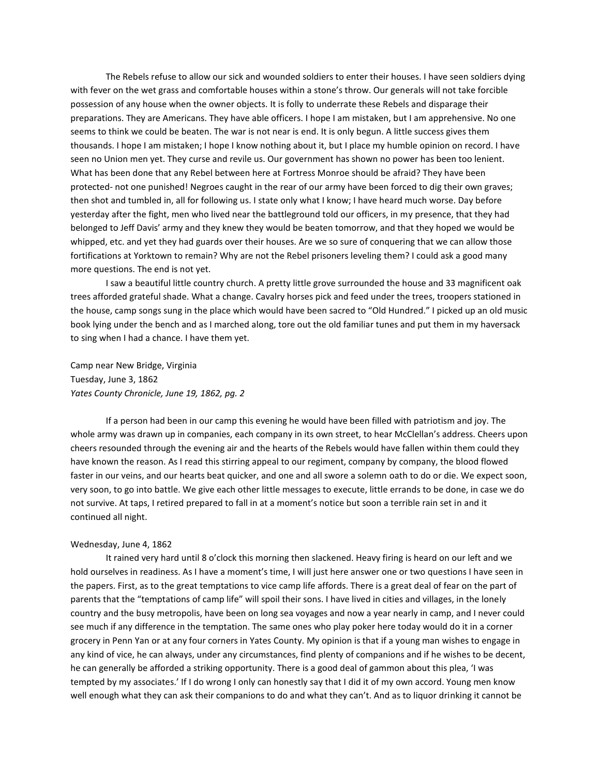The Rebels refuse to allow our sick and wounded soldiers to enter their houses. I have seen soldiers dying with fever on the wet grass and comfortable houses within a stone's throw. Our generals will not take forcible possession of any house when the owner objects. It is folly to underrate these Rebels and disparage their preparations. They are Americans. They have able officers. I hope I am mistaken, but I am apprehensive. No one seems to think we could be beaten. The war is not near is end. It is only begun. A little success gives them thousands. I hope I am mistaken; I hope I know nothing about it, but I place my humble opinion on record. I have seen no Union men yet. They curse and revile us. Our government has shown no power has been too lenient. What has been done that any Rebel between here at Fortress Monroe should be afraid? They have been protected- not one punished! Negroes caught in the rear of our army have been forced to dig their own graves; then shot and tumbled in, all for following us. I state only what I know; I have heard much worse. Day before yesterday after the fight, men who lived near the battleground told our officers, in my presence, that they had belonged to Jeff Davis' army and they knew they would be beaten tomorrow, and that they hoped we would be whipped, etc. and yet they had guards over their houses. Are we so sure of conquering that we can allow those fortifications at Yorktown to remain? Why are not the Rebel prisoners leveling them? I could ask a good many more questions. The end is not yet.

I saw a beautiful little country church. A pretty little grove surrounded the house and 33 magnificent oak trees afforded grateful shade. What a change. Cavalry horses pick and feed under the trees, troopers stationed in the house, camp songs sung in the place which would have been sacred to "Old Hundred." I picked up an old music book lying under the bench and as I marched along, tore out the old familiar tunes and put them in my haversack to sing when I had a chance. I have them yet.

Camp near New Bridge, Virginia Tuesday, June 3, 1862 *Yates County Chronicle, June 19, 1862, pg. 2*

If a person had been in our camp this evening he would have been filled with patriotism and joy. The whole army was drawn up in companies, each company in its own street, to hear McClellan's address. Cheers upon cheers resounded through the evening air and the hearts of the Rebels would have fallen within them could they have known the reason. As I read this stirring appeal to our regiment, company by company, the blood flowed faster in our veins, and our hearts beat quicker, and one and all swore a solemn oath to do or die. We expect soon, very soon, to go into battle. We give each other little messages to execute, little errands to be done, in case we do not survive. At taps, I retired prepared to fall in at a moment's notice but soon a terrible rain set in and it continued all night.

# Wednesday, June 4, 1862

It rained very hard until 8 o'clock this morning then slackened. Heavy firing is heard on our left and we hold ourselves in readiness. As I have a moment's time, I will just here answer one or two questions I have seen in the papers. First, as to the great temptations to vice camp life affords. There is a great deal of fear on the part of parents that the "temptations of camp life" will spoil their sons. I have lived in cities and villages, in the lonely country and the busy metropolis, have been on long sea voyages and now a year nearly in camp, and I never could see much if any difference in the temptation. The same ones who play poker here today would do it in a corner grocery in Penn Yan or at any four corners in Yates County. My opinion is that if a young man wishes to engage in any kind of vice, he can always, under any circumstances, find plenty of companions and if he wishes to be decent, he can generally be afforded a striking opportunity. There is a good deal of gammon about this plea, 'I was tempted by my associates.' If I do wrong I only can honestly say that I did it of my own accord. Young men know well enough what they can ask their companions to do and what they can't. And as to liquor drinking it cannot be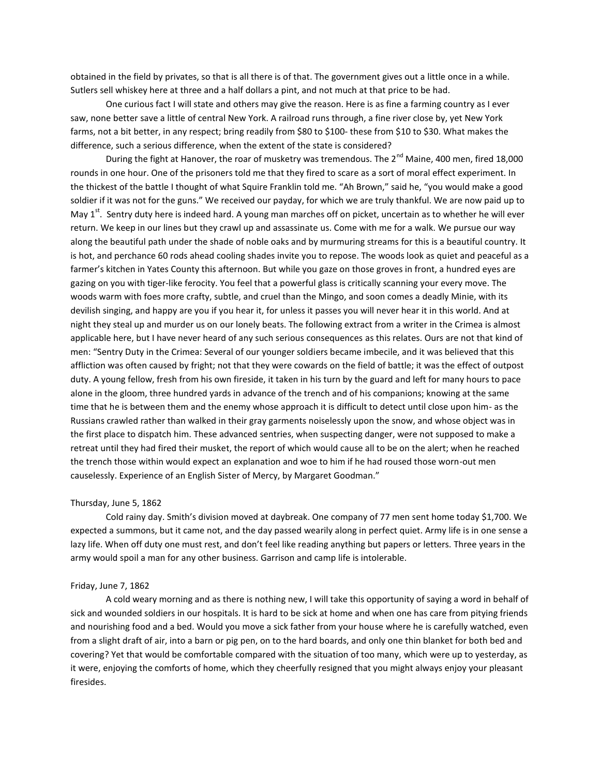obtained in the field by privates, so that is all there is of that. The government gives out a little once in a while. Sutlers sell whiskey here at three and a half dollars a pint, and not much at that price to be had.

One curious fact I will state and others may give the reason. Here is as fine a farming country as I ever saw, none better save a little of central New York. A railroad runs through, a fine river close by, yet New York farms, not a bit better, in any respect; bring readily from \$80 to \$100- these from \$10 to \$30. What makes the difference, such a serious difference, when the extent of the state is considered?

During the fight at Hanover, the roar of musketry was tremendous. The  $2^{nd}$  Maine, 400 men, fired 18,000 rounds in one hour. One of the prisoners told me that they fired to scare as a sort of moral effect experiment. In the thickest of the battle I thought of what Squire Franklin told me. "Ah Brown," said he, "you would make a good soldier if it was not for the guns." We received our payday, for which we are truly thankful. We are now paid up to May  $1^{st}$ . Sentry duty here is indeed hard. A young man marches off on picket, uncertain as to whether he will ever return. We keep in our lines but they crawl up and assassinate us. Come with me for a walk. We pursue our way along the beautiful path under the shade of noble oaks and by murmuring streams for this is a beautiful country. It is hot, and perchance 60 rods ahead cooling shades invite you to repose. The woods look as quiet and peaceful as a farmer's kitchen in Yates County this afternoon. But while you gaze on those groves in front, a hundred eyes are gazing on you with tiger-like ferocity. You feel that a powerful glass is critically scanning your every move. The woods warm with foes more crafty, subtle, and cruel than the Mingo, and soon comes a deadly Minie, with its devilish singing, and happy are you if you hear it, for unless it passes you will never hear it in this world. And at night they steal up and murder us on our lonely beats. The following extract from a writer in the Crimea is almost applicable here, but I have never heard of any such serious consequences as this relates. Ours are not that kind of men: "Sentry Duty in the Crimea: Several of our younger soldiers became imbecile, and it was believed that this affliction was often caused by fright; not that they were cowards on the field of battle; it was the effect of outpost duty. A young fellow, fresh from his own fireside, it taken in his turn by the guard and left for many hours to pace alone in the gloom, three hundred yards in advance of the trench and of his companions; knowing at the same time that he is between them and the enemy whose approach it is difficult to detect until close upon him- as the Russians crawled rather than walked in their gray garments noiselessly upon the snow, and whose object was in the first place to dispatch him. These advanced sentries, when suspecting danger, were not supposed to make a retreat until they had fired their musket, the report of which would cause all to be on the alert; when he reached the trench those within would expect an explanation and woe to him if he had roused those worn-out men causelessly. Experience of an English Sister of Mercy, by Margaret Goodman."

#### Thursday, June 5, 1862

Cold rainy day. Smith's division moved at daybreak. One company of 77 men sent home today \$1,700. We expected a summons, but it came not, and the day passed wearily along in perfect quiet. Army life is in one sense a lazy life. When off duty one must rest, and don't feel like reading anything but papers or letters. Three years in the army would spoil a man for any other business. Garrison and camp life is intolerable.

#### Friday, June 7, 1862

A cold weary morning and as there is nothing new, I will take this opportunity of saying a word in behalf of sick and wounded soldiers in our hospitals. It is hard to be sick at home and when one has care from pitying friends and nourishing food and a bed. Would you move a sick father from your house where he is carefully watched, even from a slight draft of air, into a barn or pig pen, on to the hard boards, and only one thin blanket for both bed and covering? Yet that would be comfortable compared with the situation of too many, which were up to yesterday, as it were, enjoying the comforts of home, which they cheerfully resigned that you might always enjoy your pleasant firesides.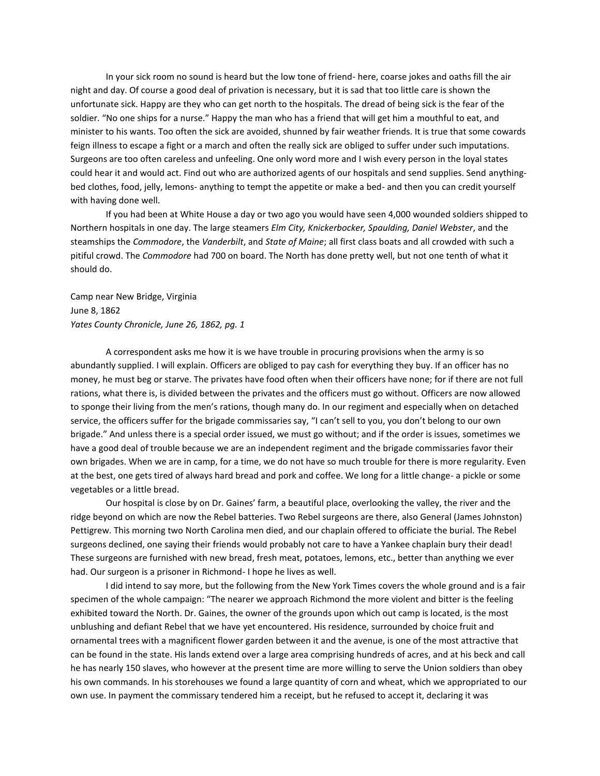In your sick room no sound is heard but the low tone of friend- here, coarse jokes and oaths fill the air night and day. Of course a good deal of privation is necessary, but it is sad that too little care is shown the unfortunate sick. Happy are they who can get north to the hospitals. The dread of being sick is the fear of the soldier. "No one ships for a nurse." Happy the man who has a friend that will get him a mouthful to eat, and minister to his wants. Too often the sick are avoided, shunned by fair weather friends. It is true that some cowards feign illness to escape a fight or a march and often the really sick are obliged to suffer under such imputations. Surgeons are too often careless and unfeeling. One only word more and I wish every person in the loyal states could hear it and would act. Find out who are authorized agents of our hospitals and send supplies. Send anythingbed clothes, food, jelly, lemons- anything to tempt the appetite or make a bed- and then you can credit yourself with having done well.

If you had been at White House a day or two ago you would have seen 4,000 wounded soldiers shipped to Northern hospitals in one day. The large steamers *Elm City, Knickerbocker, Spaulding, Daniel Webster*, and the steamships the *Commodore*, the *Vanderbilt*, and *State of Maine*; all first class boats and all crowded with such a pitiful crowd. The *Commodore* had 700 on board. The North has done pretty well, but not one tenth of what it should do.

Camp near New Bridge, Virginia June 8, 1862 *Yates County Chronicle, June 26, 1862, pg. 1*

A correspondent asks me how it is we have trouble in procuring provisions when the army is so abundantly supplied. I will explain. Officers are obliged to pay cash for everything they buy. If an officer has no money, he must beg or starve. The privates have food often when their officers have none; for if there are not full rations, what there is, is divided between the privates and the officers must go without. Officers are now allowed to sponge their living from the men's rations, though many do. In our regiment and especially when on detached service, the officers suffer for the brigade commissaries say, "I can't sell to you, you don't belong to our own brigade." And unless there is a special order issued, we must go without; and if the order is issues, sometimes we have a good deal of trouble because we are an independent regiment and the brigade commissaries favor their own brigades. When we are in camp, for a time, we do not have so much trouble for there is more regularity. Even at the best, one gets tired of always hard bread and pork and coffee. We long for a little change- a pickle or some vegetables or a little bread.

Our hospital is close by on Dr. Gaines' farm, a beautiful place, overlooking the valley, the river and the ridge beyond on which are now the Rebel batteries. Two Rebel surgeons are there, also General (James Johnston) Pettigrew. This morning two North Carolina men died, and our chaplain offered to officiate the burial. The Rebel surgeons declined, one saying their friends would probably not care to have a Yankee chaplain bury their dead! These surgeons are furnished with new bread, fresh meat, potatoes, lemons, etc., better than anything we ever had. Our surgeon is a prisoner in Richmond- I hope he lives as well.

I did intend to say more, but the following from the New York Times covers the whole ground and is a fair specimen of the whole campaign: "The nearer we approach Richmond the more violent and bitter is the feeling exhibited toward the North. Dr. Gaines, the owner of the grounds upon which out camp is located, is the most unblushing and defiant Rebel that we have yet encountered. His residence, surrounded by choice fruit and ornamental trees with a magnificent flower garden between it and the avenue, is one of the most attractive that can be found in the state. His lands extend over a large area comprising hundreds of acres, and at his beck and call he has nearly 150 slaves, who however at the present time are more willing to serve the Union soldiers than obey his own commands. In his storehouses we found a large quantity of corn and wheat, which we appropriated to our own use. In payment the commissary tendered him a receipt, but he refused to accept it, declaring it was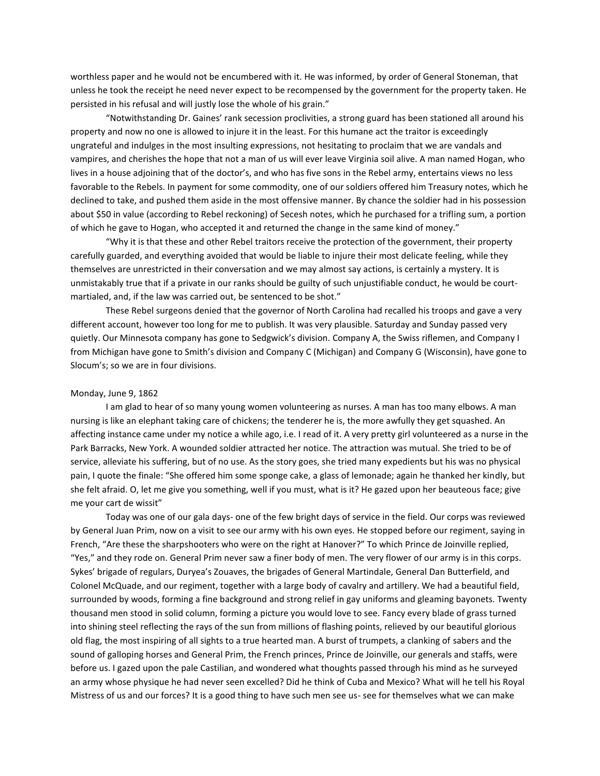worthless paper and he would not be encumbered with it. He was informed, by order of General Stoneman, that unless he took the receipt he need never expect to be recompensed by the government for the property taken. He persisted in his refusal and will justly lose the whole of his grain."

"Notwithstanding Dr. Gaines' rank secession proclivities, a strong guard has been stationed all around his property and now no one is allowed to injure it in the least. For this humane act the traitor is exceedingly ungrateful and indulges in the most insulting expressions, not hesitating to proclaim that we are vandals and vampires, and cherishes the hope that not a man of us will ever leave Virginia soil alive. A man named Hogan, who lives in a house adjoining that of the doctor's, and who has five sons in the Rebel army, entertains views no less favorable to the Rebels. In payment for some commodity, one of our soldiers offered him Treasury notes, which he declined to take, and pushed them aside in the most offensive manner. By chance the soldier had in his possession about \$50 in value (according to Rebel reckoning) of Secesh notes, which he purchased for a trifling sum, a portion of which he gave to Hogan, who accepted it and returned the change in the same kind of money."

"Why it is that these and other Rebel traitors receive the protection of the government, their property carefully guarded, and everything avoided that would be liable to injure their most delicate feeling, while they themselves are unrestricted in their conversation and we may almost say actions, is certainly a mystery. It is unmistakably true that if a private in our ranks should be guilty of such unjustifiable conduct, he would be courtmartialed, and, if the law was carried out, be sentenced to be shot."

These Rebel surgeons denied that the governor of North Carolina had recalled his troops and gave a very different account, however too long for me to publish. It was very plausible. Saturday and Sunday passed very quietly. Our Minnesota company has gone to Sedgwick's division. Company A, the Swiss riflemen, and Company I from Michigan have gone to Smith's division and Company C (Michigan) and Company G (Wisconsin), have gone to Slocum's; so we are in four divisions.

#### Monday, June 9, 1862

I am glad to hear of so many young women volunteering as nurses. A man has too many elbows. A man nursing is like an elephant taking care of chickens; the tenderer he is, the more awfully they get squashed. An affecting instance came under my notice a while ago, i.e. I read of it. A very pretty girl volunteered as a nurse in the Park Barracks, New York. A wounded soldier attracted her notice. The attraction was mutual. She tried to be of service, alleviate his suffering, but of no use. As the story goes, she tried many expedients but his was no physical pain, I quote the finale: "She offered him some sponge cake, a glass of lemonade; again he thanked her kindly, but she felt afraid. O, let me give you something, well if you must, what is it? He gazed upon her beauteous face; give me your cart de wissit"

Today was one of our gala days- one of the few bright days of service in the field. Our corps was reviewed by General Juan Prim, now on a visit to see our army with his own eyes. He stopped before our regiment, saying in French, "Are these the sharpshooters who were on the right at Hanover?" To which Prince de Joinville replied, "Yes," and they rode on. General Prim never saw a finer body of men. The very flower of our army is in this corps. Sykes' brigade of regulars, Duryea's Zouaves, the brigades of General Martindale, General Dan Butterfield, and Colonel McQuade, and our regiment, together with a large body of cavalry and artillery. We had a beautiful field, surrounded by woods, forming a fine background and strong relief in gay uniforms and gleaming bayonets. Twenty thousand men stood in solid column, forming a picture you would love to see. Fancy every blade of grass turned into shining steel reflecting the rays of the sun from millions of flashing points, relieved by our beautiful glorious old flag, the most inspiring of all sights to a true hearted man. A burst of trumpets, a clanking of sabers and the sound of galloping horses and General Prim, the French princes, Prince de Joinville, our generals and staffs, were before us. I gazed upon the pale Castilian, and wondered what thoughts passed through his mind as he surveyed an army whose physique he had never seen excelled? Did he think of Cuba and Mexico? What will he tell his Royal Mistress of us and our forces? It is a good thing to have such men see us- see for themselves what we can make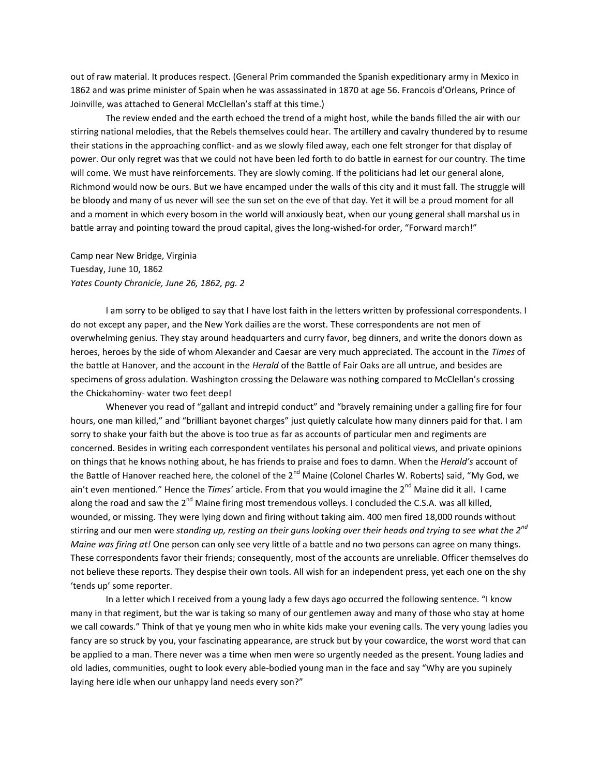out of raw material. It produces respect. (General Prim commanded the Spanish expeditionary army in Mexico in 1862 and was prime minister of Spain when he was assassinated in 1870 at age 56. Francois d'Orleans, Prince of Joinville, was attached to General McClellan's staff at this time.)

The review ended and the earth echoed the trend of a might host, while the bands filled the air with our stirring national melodies, that the Rebels themselves could hear. The artillery and cavalry thundered by to resume their stations in the approaching conflict- and as we slowly filed away, each one felt stronger for that display of power. Our only regret was that we could not have been led forth to do battle in earnest for our country. The time will come. We must have reinforcements. They are slowly coming. If the politicians had let our general alone, Richmond would now be ours. But we have encamped under the walls of this city and it must fall. The struggle will be bloody and many of us never will see the sun set on the eve of that day. Yet it will be a proud moment for all and a moment in which every bosom in the world will anxiously beat, when our young general shall marshal us in battle array and pointing toward the proud capital, gives the long-wished-for order, "Forward march!"

Camp near New Bridge, Virginia Tuesday, June 10, 1862 *Yates County Chronicle, June 26, 1862, pg. 2*

I am sorry to be obliged to say that I have lost faith in the letters written by professional correspondents. I do not except any paper, and the New York dailies are the worst. These correspondents are not men of overwhelming genius. They stay around headquarters and curry favor, beg dinners, and write the donors down as heroes, heroes by the side of whom Alexander and Caesar are very much appreciated. The account in the *Times* of the battle at Hanover, and the account in the *Herald* of the Battle of Fair Oaks are all untrue, and besides are specimens of gross adulation. Washington crossing the Delaware was nothing compared to McClellan's crossing the Chickahominy- water two feet deep!

Whenever you read of "gallant and intrepid conduct" and "bravely remaining under a galling fire for four hours, one man killed," and "brilliant bayonet charges" just quietly calculate how many dinners paid for that. I am sorry to shake your faith but the above is too true as far as accounts of particular men and regiments are concerned. Besides in writing each correspondent ventilates his personal and political views, and private opinions on things that he knows nothing about, he has friends to praise and foes to damn. When the *Herald's* account of the Battle of Hanover reached here, the colonel of the  $2^{nd}$  Maine (Colonel Charles W. Roberts) said, "My God, we ain't even mentioned." Hence the *Times'* article. From that you would imagine the 2<sup>nd</sup> Maine did it all. I came along the road and saw the  $2^{nd}$  Maine firing most tremendous volleys. I concluded the C.S.A. was all killed, wounded, or missing. They were lying down and firing without taking aim. 400 men fired 18,000 rounds without stirring and our men were *standing up, resting on their guns looking over their heads and trying to see what the 2nd Maine was firing at!* One person can only see very little of a battle and no two persons can agree on many things. These correspondents favor their friends; consequently, most of the accounts are unreliable. Officer themselves do not believe these reports. They despise their own tools. All wish for an independent press, yet each one on the shy 'tends up' some reporter.

In a letter which I received from a young lady a few days ago occurred the following sentence. "I know many in that regiment, but the war is taking so many of our gentlemen away and many of those who stay at home we call cowards." Think of that ye young men who in white kids make your evening calls. The very young ladies you fancy are so struck by you, your fascinating appearance, are struck but by your cowardice, the worst word that can be applied to a man. There never was a time when men were so urgently needed as the present. Young ladies and old ladies, communities, ought to look every able-bodied young man in the face and say "Why are you supinely laying here idle when our unhappy land needs every son?"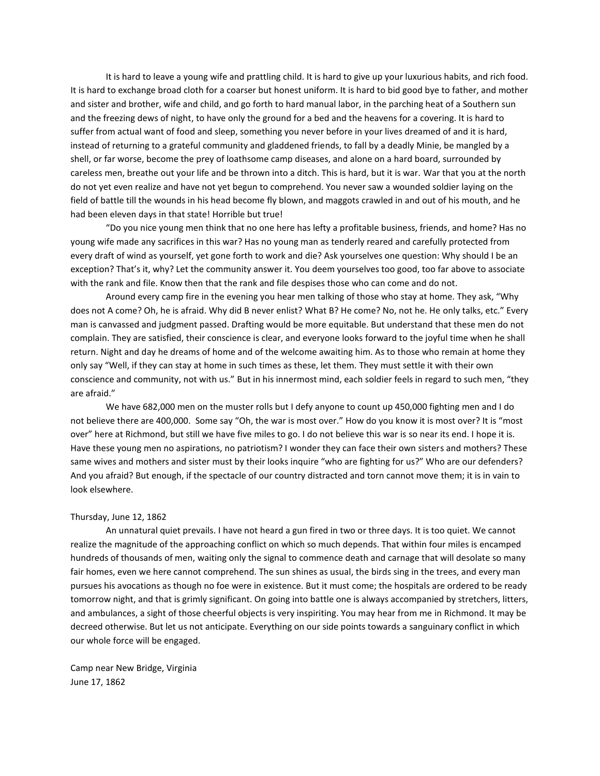It is hard to leave a young wife and prattling child. It is hard to give up your luxurious habits, and rich food. It is hard to exchange broad cloth for a coarser but honest uniform. It is hard to bid good bye to father, and mother and sister and brother, wife and child, and go forth to hard manual labor, in the parching heat of a Southern sun and the freezing dews of night, to have only the ground for a bed and the heavens for a covering. It is hard to suffer from actual want of food and sleep, something you never before in your lives dreamed of and it is hard, instead of returning to a grateful community and gladdened friends, to fall by a deadly Minie, be mangled by a shell, or far worse, become the prey of loathsome camp diseases, and alone on a hard board, surrounded by careless men, breathe out your life and be thrown into a ditch. This is hard, but it is war. War that you at the north do not yet even realize and have not yet begun to comprehend. You never saw a wounded soldier laying on the field of battle till the wounds in his head become fly blown, and maggots crawled in and out of his mouth, and he had been eleven days in that state! Horrible but true!

"Do you nice young men think that no one here has lefty a profitable business, friends, and home? Has no young wife made any sacrifices in this war? Has no young man as tenderly reared and carefully protected from every draft of wind as yourself, yet gone forth to work and die? Ask yourselves one question: Why should I be an exception? That's it, why? Let the community answer it. You deem yourselves too good, too far above to associate with the rank and file. Know then that the rank and file despises those who can come and do not.

Around every camp fire in the evening you hear men talking of those who stay at home. They ask, "Why does not A come? Oh, he is afraid. Why did B never enlist? What B? He come? No, not he. He only talks, etc." Every man is canvassed and judgment passed. Drafting would be more equitable. But understand that these men do not complain. They are satisfied, their conscience is clear, and everyone looks forward to the joyful time when he shall return. Night and day he dreams of home and of the welcome awaiting him. As to those who remain at home they only say "Well, if they can stay at home in such times as these, let them. They must settle it with their own conscience and community, not with us." But in his innermost mind, each soldier feels in regard to such men, "they are afraid."

We have 682,000 men on the muster rolls but I defy anyone to count up 450,000 fighting men and I do not believe there are 400,000. Some say "Oh, the war is most over." How do you know it is most over? It is "most over" here at Richmond, but still we have five miles to go. I do not believe this war is so near its end. I hope it is. Have these young men no aspirations, no patriotism? I wonder they can face their own sisters and mothers? These same wives and mothers and sister must by their looks inquire "who are fighting for us?" Who are our defenders? And you afraid? But enough, if the spectacle of our country distracted and torn cannot move them; it is in vain to look elsewhere.

## Thursday, June 12, 1862

An unnatural quiet prevails. I have not heard a gun fired in two or three days. It is too quiet. We cannot realize the magnitude of the approaching conflict on which so much depends. That within four miles is encamped hundreds of thousands of men, waiting only the signal to commence death and carnage that will desolate so many fair homes, even we here cannot comprehend. The sun shines as usual, the birds sing in the trees, and every man pursues his avocations as though no foe were in existence. But it must come; the hospitals are ordered to be ready tomorrow night, and that is grimly significant. On going into battle one is always accompanied by stretchers, litters, and ambulances, a sight of those cheerful objects is very inspiriting. You may hear from me in Richmond. It may be decreed otherwise. But let us not anticipate. Everything on our side points towards a sanguinary conflict in which our whole force will be engaged.

Camp near New Bridge, Virginia June 17, 1862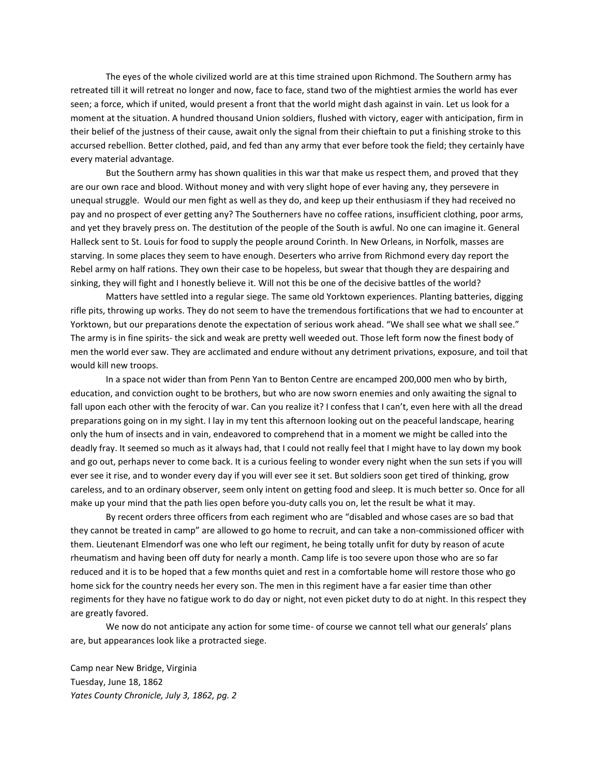The eyes of the whole civilized world are at this time strained upon Richmond. The Southern army has retreated till it will retreat no longer and now, face to face, stand two of the mightiest armies the world has ever seen; a force, which if united, would present a front that the world might dash against in vain. Let us look for a moment at the situation. A hundred thousand Union soldiers, flushed with victory, eager with anticipation, firm in their belief of the justness of their cause, await only the signal from their chieftain to put a finishing stroke to this accursed rebellion. Better clothed, paid, and fed than any army that ever before took the field; they certainly have every material advantage.

But the Southern army has shown qualities in this war that make us respect them, and proved that they are our own race and blood. Without money and with very slight hope of ever having any, they persevere in unequal struggle. Would our men fight as well as they do, and keep up their enthusiasm if they had received no pay and no prospect of ever getting any? The Southerners have no coffee rations, insufficient clothing, poor arms, and yet they bravely press on. The destitution of the people of the South is awful. No one can imagine it. General Halleck sent to St. Louis for food to supply the people around Corinth. In New Orleans, in Norfolk, masses are starving. In some places they seem to have enough. Deserters who arrive from Richmond every day report the Rebel army on half rations. They own their case to be hopeless, but swear that though they are despairing and sinking, they will fight and I honestly believe it. Will not this be one of the decisive battles of the world?

Matters have settled into a regular siege. The same old Yorktown experiences. Planting batteries, digging rifle pits, throwing up works. They do not seem to have the tremendous fortifications that we had to encounter at Yorktown, but our preparations denote the expectation of serious work ahead. "We shall see what we shall see." The army is in fine spirits- the sick and weak are pretty well weeded out. Those left form now the finest body of men the world ever saw. They are acclimated and endure without any detriment privations, exposure, and toil that would kill new troops.

In a space not wider than from Penn Yan to Benton Centre are encamped 200,000 men who by birth, education, and conviction ought to be brothers, but who are now sworn enemies and only awaiting the signal to fall upon each other with the ferocity of war. Can you realize it? I confess that I can't, even here with all the dread preparations going on in my sight. I lay in my tent this afternoon looking out on the peaceful landscape, hearing only the hum of insects and in vain, endeavored to comprehend that in a moment we might be called into the deadly fray. It seemed so much as it always had, that I could not really feel that I might have to lay down my book and go out, perhaps never to come back. It is a curious feeling to wonder every night when the sun sets if you will ever see it rise, and to wonder every day if you will ever see it set. But soldiers soon get tired of thinking, grow careless, and to an ordinary observer, seem only intent on getting food and sleep. It is much better so. Once for all make up your mind that the path lies open before you-duty calls you on, let the result be what it may.

By recent orders three officers from each regiment who are "disabled and whose cases are so bad that they cannot be treated in camp" are allowed to go home to recruit, and can take a non-commissioned officer with them. Lieutenant Elmendorf was one who left our regiment, he being totally unfit for duty by reason of acute rheumatism and having been off duty for nearly a month. Camp life is too severe upon those who are so far reduced and it is to be hoped that a few months quiet and rest in a comfortable home will restore those who go home sick for the country needs her every son. The men in this regiment have a far easier time than other regiments for they have no fatigue work to do day or night, not even picket duty to do at night. In this respect they are greatly favored.

We now do not anticipate any action for some time- of course we cannot tell what our generals' plans are, but appearances look like a protracted siege.

Camp near New Bridge, Virginia Tuesday, June 18, 1862 *Yates County Chronicle, July 3, 1862, pg. 2*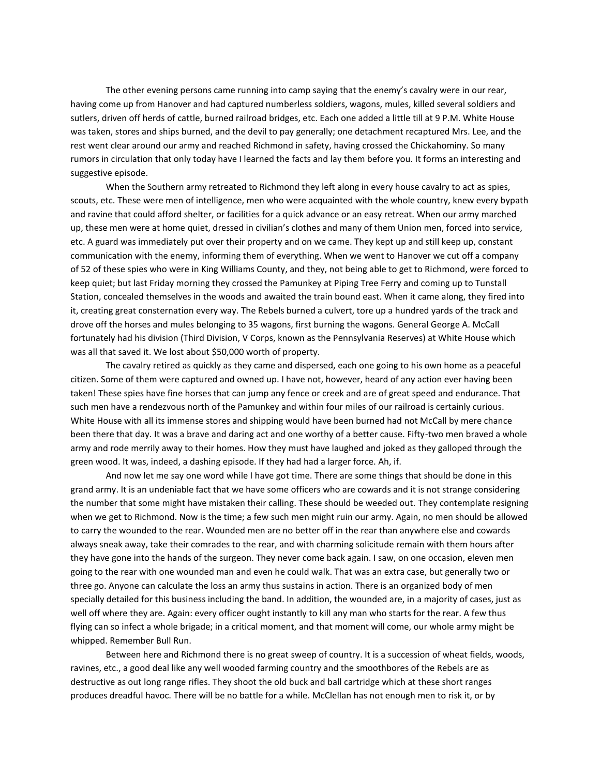The other evening persons came running into camp saying that the enemy's cavalry were in our rear, having come up from Hanover and had captured numberless soldiers, wagons, mules, killed several soldiers and sutlers, driven off herds of cattle, burned railroad bridges, etc. Each one added a little till at 9 P.M. White House was taken, stores and ships burned, and the devil to pay generally; one detachment recaptured Mrs. Lee, and the rest went clear around our army and reached Richmond in safety, having crossed the Chickahominy. So many rumors in circulation that only today have I learned the facts and lay them before you. It forms an interesting and suggestive episode.

When the Southern army retreated to Richmond they left along in every house cavalry to act as spies, scouts, etc. These were men of intelligence, men who were acquainted with the whole country, knew every bypath and ravine that could afford shelter, or facilities for a quick advance or an easy retreat. When our army marched up, these men were at home quiet, dressed in civilian's clothes and many of them Union men, forced into service, etc. A guard was immediately put over their property and on we came. They kept up and still keep up, constant communication with the enemy, informing them of everything. When we went to Hanover we cut off a company of 52 of these spies who were in King Williams County, and they, not being able to get to Richmond, were forced to keep quiet; but last Friday morning they crossed the Pamunkey at Piping Tree Ferry and coming up to Tunstall Station, concealed themselves in the woods and awaited the train bound east. When it came along, they fired into it, creating great consternation every way. The Rebels burned a culvert, tore up a hundred yards of the track and drove off the horses and mules belonging to 35 wagons, first burning the wagons. General George A. McCall fortunately had his division (Third Division, V Corps, known as the Pennsylvania Reserves) at White House which was all that saved it. We lost about \$50,000 worth of property.

The cavalry retired as quickly as they came and dispersed, each one going to his own home as a peaceful citizen. Some of them were captured and owned up. I have not, however, heard of any action ever having been taken! These spies have fine horses that can jump any fence or creek and are of great speed and endurance. That such men have a rendezvous north of the Pamunkey and within four miles of our railroad is certainly curious. White House with all its immense stores and shipping would have been burned had not McCall by mere chance been there that day. It was a brave and daring act and one worthy of a better cause. Fifty-two men braved a whole army and rode merrily away to their homes. How they must have laughed and joked as they galloped through the green wood. It was, indeed, a dashing episode. If they had had a larger force. Ah, if.

And now let me say one word while I have got time. There are some things that should be done in this grand army. It is an undeniable fact that we have some officers who are cowards and it is not strange considering the number that some might have mistaken their calling. These should be weeded out. They contemplate resigning when we get to Richmond. Now is the time; a few such men might ruin our army. Again, no men should be allowed to carry the wounded to the rear. Wounded men are no better off in the rear than anywhere else and cowards always sneak away, take their comrades to the rear, and with charming solicitude remain with them hours after they have gone into the hands of the surgeon. They never come back again. I saw, on one occasion, eleven men going to the rear with one wounded man and even he could walk. That was an extra case, but generally two or three go. Anyone can calculate the loss an army thus sustains in action. There is an organized body of men specially detailed for this business including the band. In addition, the wounded are, in a majority of cases, just as well off where they are. Again: every officer ought instantly to kill any man who starts for the rear. A few thus flying can so infect a whole brigade; in a critical moment, and that moment will come, our whole army might be whipped. Remember Bull Run.

Between here and Richmond there is no great sweep of country. It is a succession of wheat fields, woods, ravines, etc., a good deal like any well wooded farming country and the smoothbores of the Rebels are as destructive as out long range rifles. They shoot the old buck and ball cartridge which at these short ranges produces dreadful havoc. There will be no battle for a while. McClellan has not enough men to risk it, or by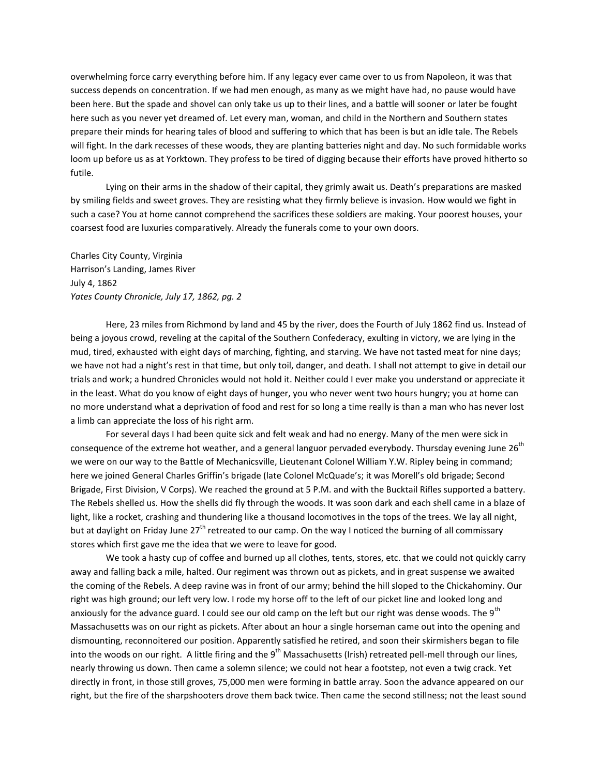overwhelming force carry everything before him. If any legacy ever came over to us from Napoleon, it was that success depends on concentration. If we had men enough, as many as we might have had, no pause would have been here. But the spade and shovel can only take us up to their lines, and a battle will sooner or later be fought here such as you never yet dreamed of. Let every man, woman, and child in the Northern and Southern states prepare their minds for hearing tales of blood and suffering to which that has been is but an idle tale. The Rebels will fight. In the dark recesses of these woods, they are planting batteries night and day. No such formidable works loom up before us as at Yorktown. They profess to be tired of digging because their efforts have proved hitherto so futile.

Lying on their arms in the shadow of their capital, they grimly await us. Death's preparations are masked by smiling fields and sweet groves. They are resisting what they firmly believe is invasion. How would we fight in such a case? You at home cannot comprehend the sacrifices these soldiers are making. Your poorest houses, your coarsest food are luxuries comparatively. Already the funerals come to your own doors.

Charles City County, Virginia Harrison's Landing, James River July 4, 1862 *Yates County Chronicle, July 17, 1862, pg. 2*

Here, 23 miles from Richmond by land and 45 by the river, does the Fourth of July 1862 find us. Instead of being a joyous crowd, reveling at the capital of the Southern Confederacy, exulting in victory, we are lying in the mud, tired, exhausted with eight days of marching, fighting, and starving. We have not tasted meat for nine days; we have not had a night's rest in that time, but only toil, danger, and death. I shall not attempt to give in detail our trials and work; a hundred Chronicles would not hold it. Neither could I ever make you understand or appreciate it in the least. What do you know of eight days of hunger, you who never went two hours hungry; you at home can no more understand what a deprivation of food and rest for so long a time really is than a man who has never lost a limb can appreciate the loss of his right arm.

For several days I had been quite sick and felt weak and had no energy. Many of the men were sick in consequence of the extreme hot weather, and a general languor pervaded everybody. Thursday evening June 26<sup>th</sup> we were on our way to the Battle of Mechanicsville, Lieutenant Colonel William Y.W. Ripley being in command; here we joined General Charles Griffin's brigade (late Colonel McQuade's; it was Morell's old brigade; Second Brigade, First Division, V Corps). We reached the ground at 5 P.M. and with the Bucktail Rifles supported a battery. The Rebels shelled us. How the shells did fly through the woods. It was soon dark and each shell came in a blaze of light, like a rocket, crashing and thundering like a thousand locomotives in the tops of the trees. We lay all night, but at daylight on Friday June 27<sup>th</sup> retreated to our camp. On the way I noticed the burning of all commissary stores which first gave me the idea that we were to leave for good.

We took a hasty cup of coffee and burned up all clothes, tents, stores, etc. that we could not quickly carry away and falling back a mile, halted. Our regiment was thrown out as pickets, and in great suspense we awaited the coming of the Rebels. A deep ravine was in front of our army; behind the hill sloped to the Chickahominy. Our right was high ground; our left very low. I rode my horse off to the left of our picket line and looked long and anxiously for the advance guard. I could see our old camp on the left but our right was dense woods. The 9th Massachusetts was on our right as pickets. After about an hour a single horseman came out into the opening and dismounting, reconnoitered our position. Apparently satisfied he retired, and soon their skirmishers began to file into the woods on our right. A little firing and the 9<sup>th</sup> Massachusetts (Irish) retreated pell-mell through our lines, nearly throwing us down. Then came a solemn silence; we could not hear a footstep, not even a twig crack. Yet directly in front, in those still groves, 75,000 men were forming in battle array. Soon the advance appeared on our right, but the fire of the sharpshooters drove them back twice. Then came the second stillness; not the least sound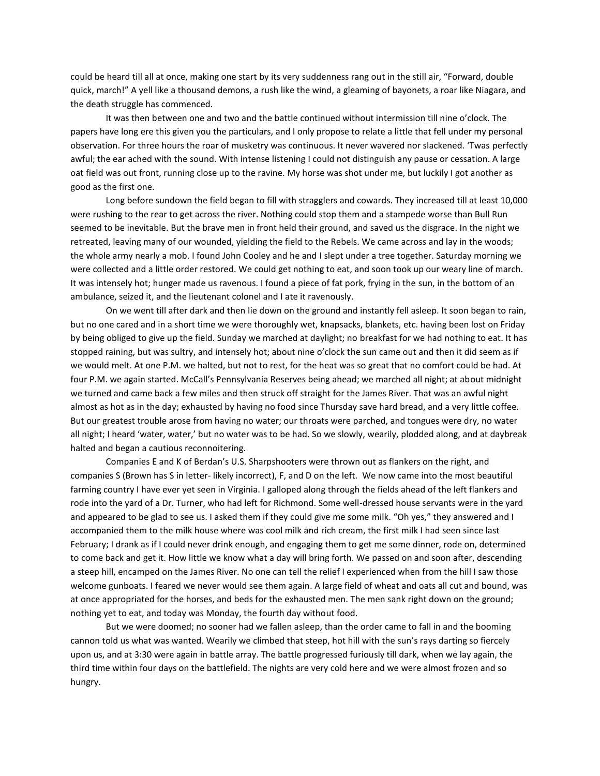could be heard till all at once, making one start by its very suddenness rang out in the still air, "Forward, double quick, march!" A yell like a thousand demons, a rush like the wind, a gleaming of bayonets, a roar like Niagara, and the death struggle has commenced.

It was then between one and two and the battle continued without intermission till nine o'clock. The papers have long ere this given you the particulars, and I only propose to relate a little that fell under my personal observation. For three hours the roar of musketry was continuous. It never wavered nor slackened. 'Twas perfectly awful; the ear ached with the sound. With intense listening I could not distinguish any pause or cessation. A large oat field was out front, running close up to the ravine. My horse was shot under me, but luckily I got another as good as the first one.

Long before sundown the field began to fill with stragglers and cowards. They increased till at least 10,000 were rushing to the rear to get across the river. Nothing could stop them and a stampede worse than Bull Run seemed to be inevitable. But the brave men in front held their ground, and saved us the disgrace. In the night we retreated, leaving many of our wounded, yielding the field to the Rebels. We came across and lay in the woods; the whole army nearly a mob. I found John Cooley and he and I slept under a tree together. Saturday morning we were collected and a little order restored. We could get nothing to eat, and soon took up our weary line of march. It was intensely hot; hunger made us ravenous. I found a piece of fat pork, frying in the sun, in the bottom of an ambulance, seized it, and the lieutenant colonel and I ate it ravenously.

On we went till after dark and then lie down on the ground and instantly fell asleep. It soon began to rain, but no one cared and in a short time we were thoroughly wet, knapsacks, blankets, etc. having been lost on Friday by being obliged to give up the field. Sunday we marched at daylight; no breakfast for we had nothing to eat. It has stopped raining, but was sultry, and intensely hot; about nine o'clock the sun came out and then it did seem as if we would melt. At one P.M. we halted, but not to rest, for the heat was so great that no comfort could be had. At four P.M. we again started. McCall's Pennsylvania Reserves being ahead; we marched all night; at about midnight we turned and came back a few miles and then struck off straight for the James River. That was an awful night almost as hot as in the day; exhausted by having no food since Thursday save hard bread, and a very little coffee. But our greatest trouble arose from having no water; our throats were parched, and tongues were dry, no water all night; I heard 'water, water,' but no water was to be had. So we slowly, wearily, plodded along, and at daybreak halted and began a cautious reconnoitering.

Companies E and K of Berdan's U.S. Sharpshooters were thrown out as flankers on the right, and companies S (Brown has S in letter- likely incorrect), F, and D on the left. We now came into the most beautiful farming country I have ever yet seen in Virginia. I galloped along through the fields ahead of the left flankers and rode into the yard of a Dr. Turner, who had left for Richmond. Some well-dressed house servants were in the yard and appeared to be glad to see us. I asked them if they could give me some milk. "Oh yes," they answered and I accompanied them to the milk house where was cool milk and rich cream, the first milk I had seen since last February; I drank as if I could never drink enough, and engaging them to get me some dinner, rode on, determined to come back and get it. How little we know what a day will bring forth. We passed on and soon after, descending a steep hill, encamped on the James River. No one can tell the relief I experienced when from the hill I saw those welcome gunboats. I feared we never would see them again. A large field of wheat and oats all cut and bound, was at once appropriated for the horses, and beds for the exhausted men. The men sank right down on the ground; nothing yet to eat, and today was Monday, the fourth day without food.

But we were doomed; no sooner had we fallen asleep, than the order came to fall in and the booming cannon told us what was wanted. Wearily we climbed that steep, hot hill with the sun's rays darting so fiercely upon us, and at 3:30 were again in battle array. The battle progressed furiously till dark, when we lay again, the third time within four days on the battlefield. The nights are very cold here and we were almost frozen and so hungry.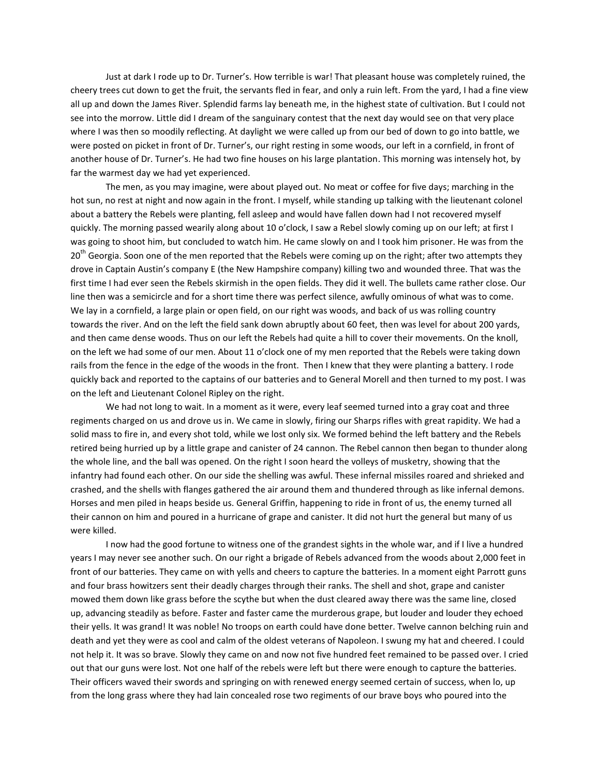Just at dark I rode up to Dr. Turner's. How terrible is war! That pleasant house was completely ruined, the cheery trees cut down to get the fruit, the servants fled in fear, and only a ruin left. From the yard, I had a fine view all up and down the James River. Splendid farms lay beneath me, in the highest state of cultivation. But I could not see into the morrow. Little did I dream of the sanguinary contest that the next day would see on that very place where I was then so moodily reflecting. At daylight we were called up from our bed of down to go into battle, we were posted on picket in front of Dr. Turner's, our right resting in some woods, our left in a cornfield, in front of another house of Dr. Turner's. He had two fine houses on his large plantation. This morning was intensely hot, by far the warmest day we had yet experienced.

The men, as you may imagine, were about played out. No meat or coffee for five days; marching in the hot sun, no rest at night and now again in the front. I myself, while standing up talking with the lieutenant colonel about a battery the Rebels were planting, fell asleep and would have fallen down had I not recovered myself quickly. The morning passed wearily along about 10 o'clock, I saw a Rebel slowly coming up on our left; at first I was going to shoot him, but concluded to watch him. He came slowly on and I took him prisoner. He was from the 20<sup>th</sup> Georgia. Soon one of the men reported that the Rebels were coming up on the right; after two attempts they drove in Captain Austin's company E (the New Hampshire company) killing two and wounded three. That was the first time I had ever seen the Rebels skirmish in the open fields. They did it well. The bullets came rather close. Our line then was a semicircle and for a short time there was perfect silence, awfully ominous of what was to come. We lay in a cornfield, a large plain or open field, on our right was woods, and back of us was rolling country towards the river. And on the left the field sank down abruptly about 60 feet, then was level for about 200 yards, and then came dense woods. Thus on our left the Rebels had quite a hill to cover their movements. On the knoll, on the left we had some of our men. About 11 o'clock one of my men reported that the Rebels were taking down rails from the fence in the edge of the woods in the front. Then I knew that they were planting a battery. I rode quickly back and reported to the captains of our batteries and to General Morell and then turned to my post. I was on the left and Lieutenant Colonel Ripley on the right.

We had not long to wait. In a moment as it were, every leaf seemed turned into a gray coat and three regiments charged on us and drove us in. We came in slowly, firing our Sharps rifles with great rapidity. We had a solid mass to fire in, and every shot told, while we lost only six. We formed behind the left battery and the Rebels retired being hurried up by a little grape and canister of 24 cannon. The Rebel cannon then began to thunder along the whole line, and the ball was opened. On the right I soon heard the volleys of musketry, showing that the infantry had found each other. On our side the shelling was awful. These infernal missiles roared and shrieked and crashed, and the shells with flanges gathered the air around them and thundered through as like infernal demons. Horses and men piled in heaps beside us. General Griffin, happening to ride in front of us, the enemy turned all their cannon on him and poured in a hurricane of grape and canister. It did not hurt the general but many of us were killed.

I now had the good fortune to witness one of the grandest sights in the whole war, and if I live a hundred years I may never see another such. On our right a brigade of Rebels advanced from the woods about 2,000 feet in front of our batteries. They came on with yells and cheers to capture the batteries. In a moment eight Parrott guns and four brass howitzers sent their deadly charges through their ranks. The shell and shot, grape and canister mowed them down like grass before the scythe but when the dust cleared away there was the same line, closed up, advancing steadily as before. Faster and faster came the murderous grape, but louder and louder they echoed their yells. It was grand! It was noble! No troops on earth could have done better. Twelve cannon belching ruin and death and yet they were as cool and calm of the oldest veterans of Napoleon. I swung my hat and cheered. I could not help it. It was so brave. Slowly they came on and now not five hundred feet remained to be passed over. I cried out that our guns were lost. Not one half of the rebels were left but there were enough to capture the batteries. Their officers waved their swords and springing on with renewed energy seemed certain of success, when lo, up from the long grass where they had lain concealed rose two regiments of our brave boys who poured into the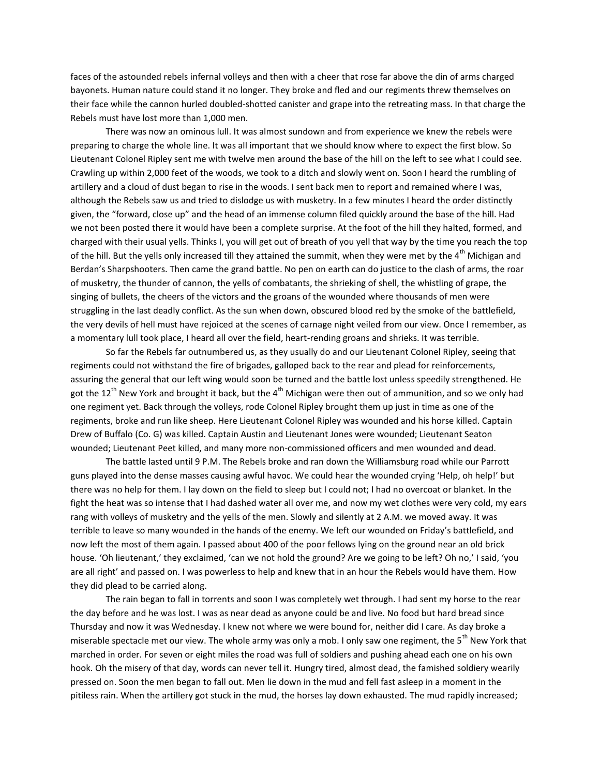faces of the astounded rebels infernal volleys and then with a cheer that rose far above the din of arms charged bayonets. Human nature could stand it no longer. They broke and fled and our regiments threw themselves on their face while the cannon hurled doubled-shotted canister and grape into the retreating mass. In that charge the Rebels must have lost more than 1,000 men.

There was now an ominous lull. It was almost sundown and from experience we knew the rebels were preparing to charge the whole line. It was all important that we should know where to expect the first blow. So Lieutenant Colonel Ripley sent me with twelve men around the base of the hill on the left to see what I could see. Crawling up within 2,000 feet of the woods, we took to a ditch and slowly went on. Soon I heard the rumbling of artillery and a cloud of dust began to rise in the woods. I sent back men to report and remained where I was, although the Rebels saw us and tried to dislodge us with musketry. In a few minutes I heard the order distinctly given, the "forward, close up" and the head of an immense column filed quickly around the base of the hill. Had we not been posted there it would have been a complete surprise. At the foot of the hill they halted, formed, and charged with their usual yells. Thinks I, you will get out of breath of you yell that way by the time you reach the top of the hill. But the yells only increased till they attained the summit, when they were met by the  $4^{\text{th}}$  Michigan and Berdan's Sharpshooters. Then came the grand battle. No pen on earth can do justice to the clash of arms, the roar of musketry, the thunder of cannon, the yells of combatants, the shrieking of shell, the whistling of grape, the singing of bullets, the cheers of the victors and the groans of the wounded where thousands of men were struggling in the last deadly conflict. As the sun when down, obscured blood red by the smoke of the battlefield, the very devils of hell must have rejoiced at the scenes of carnage night veiled from our view. Once I remember, as a momentary lull took place, I heard all over the field, heart-rending groans and shrieks. It was terrible.

So far the Rebels far outnumbered us, as they usually do and our Lieutenant Colonel Ripley, seeing that regiments could not withstand the fire of brigades, galloped back to the rear and plead for reinforcements, assuring the general that our left wing would soon be turned and the battle lost unless speedily strengthened. He got the 12<sup>th</sup> New York and brought it back, but the 4<sup>th</sup> Michigan were then out of ammunition, and so we only had one regiment yet. Back through the volleys, rode Colonel Ripley brought them up just in time as one of the regiments, broke and run like sheep. Here Lieutenant Colonel Ripley was wounded and his horse killed. Captain Drew of Buffalo (Co. G) was killed. Captain Austin and Lieutenant Jones were wounded; Lieutenant Seaton wounded; Lieutenant Peet killed, and many more non-commissioned officers and men wounded and dead.

The battle lasted until 9 P.M. The Rebels broke and ran down the Williamsburg road while our Parrott guns played into the dense masses causing awful havoc. We could hear the wounded crying 'Help, oh help!' but there was no help for them. I lay down on the field to sleep but I could not; I had no overcoat or blanket. In the fight the heat was so intense that I had dashed water all over me, and now my wet clothes were very cold, my ears rang with volleys of musketry and the yells of the men. Slowly and silently at 2 A.M. we moved away. It was terrible to leave so many wounded in the hands of the enemy. We left our wounded on Friday's battlefield, and now left the most of them again. I passed about 400 of the poor fellows lying on the ground near an old brick house. 'Oh lieutenant,' they exclaimed, 'can we not hold the ground? Are we going to be left? Oh no,' I said, 'you are all right' and passed on. I was powerless to help and knew that in an hour the Rebels would have them. How they did plead to be carried along.

The rain began to fall in torrents and soon I was completely wet through. I had sent my horse to the rear the day before and he was lost. I was as near dead as anyone could be and live. No food but hard bread since Thursday and now it was Wednesday. I knew not where we were bound for, neither did I care. As day broke a miserable spectacle met our view. The whole army was only a mob. I only saw one regiment, the 5<sup>th</sup> New York that marched in order. For seven or eight miles the road was full of soldiers and pushing ahead each one on his own hook. Oh the misery of that day, words can never tell it. Hungry tired, almost dead, the famished soldiery wearily pressed on. Soon the men began to fall out. Men lie down in the mud and fell fast asleep in a moment in the pitiless rain. When the artillery got stuck in the mud, the horses lay down exhausted. The mud rapidly increased;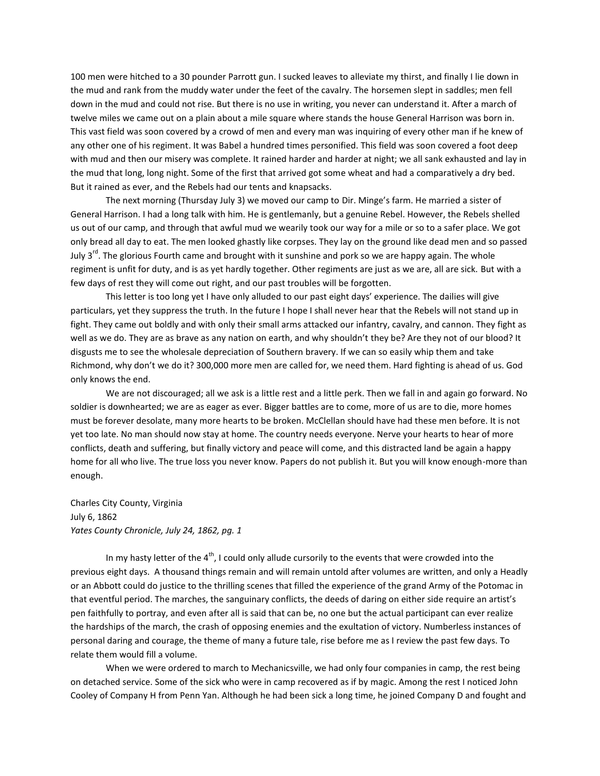100 men were hitched to a 30 pounder Parrott gun. I sucked leaves to alleviate my thirst, and finally I lie down in the mud and rank from the muddy water under the feet of the cavalry. The horsemen slept in saddles; men fell down in the mud and could not rise. But there is no use in writing, you never can understand it. After a march of twelve miles we came out on a plain about a mile square where stands the house General Harrison was born in. This vast field was soon covered by a crowd of men and every man was inquiring of every other man if he knew of any other one of his regiment. It was Babel a hundred times personified. This field was soon covered a foot deep with mud and then our misery was complete. It rained harder and harder at night; we all sank exhausted and lay in the mud that long, long night. Some of the first that arrived got some wheat and had a comparatively a dry bed. But it rained as ever, and the Rebels had our tents and knapsacks.

The next morning (Thursday July 3) we moved our camp to Dir. Minge's farm. He married a sister of General Harrison. I had a long talk with him. He is gentlemanly, but a genuine Rebel. However, the Rebels shelled us out of our camp, and through that awful mud we wearily took our way for a mile or so to a safer place. We got only bread all day to eat. The men looked ghastly like corpses. They lay on the ground like dead men and so passed July 3<sup>rd</sup>. The glorious Fourth came and brought with it sunshine and pork so we are happy again. The whole regiment is unfit for duty, and is as yet hardly together. Other regiments are just as we are, all are sick. But with a few days of rest they will come out right, and our past troubles will be forgotten.

This letter is too long yet I have only alluded to our past eight days' experience. The dailies will give particulars, yet they suppress the truth. In the future I hope I shall never hear that the Rebels will not stand up in fight. They came out boldly and with only their small arms attacked our infantry, cavalry, and cannon. They fight as well as we do. They are as brave as any nation on earth, and why shouldn't they be? Are they not of our blood? It disgusts me to see the wholesale depreciation of Southern bravery. If we can so easily whip them and take Richmond, why don't we do it? 300,000 more men are called for, we need them. Hard fighting is ahead of us. God only knows the end.

We are not discouraged; all we ask is a little rest and a little perk. Then we fall in and again go forward. No soldier is downhearted; we are as eager as ever. Bigger battles are to come, more of us are to die, more homes must be forever desolate, many more hearts to be broken. McClellan should have had these men before. It is not yet too late. No man should now stay at home. The country needs everyone. Nerve your hearts to hear of more conflicts, death and suffering, but finally victory and peace will come, and this distracted land be again a happy home for all who live. The true loss you never know. Papers do not publish it. But you will know enough-more than enough.

Charles City County, Virginia July 6, 1862 *Yates County Chronicle, July 24, 1862, pg. 1*

In my hasty letter of the  $4<sup>th</sup>$ , I could only allude cursorily to the events that were crowded into the previous eight days. A thousand things remain and will remain untold after volumes are written, and only a Headly or an Abbott could do justice to the thrilling scenes that filled the experience of the grand Army of the Potomac in that eventful period. The marches, the sanguinary conflicts, the deeds of daring on either side require an artist's pen faithfully to portray, and even after all is said that can be, no one but the actual participant can ever realize the hardships of the march, the crash of opposing enemies and the exultation of victory. Numberless instances of personal daring and courage, the theme of many a future tale, rise before me as I review the past few days. To relate them would fill a volume.

When we were ordered to march to Mechanicsville, we had only four companies in camp, the rest being on detached service. Some of the sick who were in camp recovered as if by magic. Among the rest I noticed John Cooley of Company H from Penn Yan. Although he had been sick a long time, he joined Company D and fought and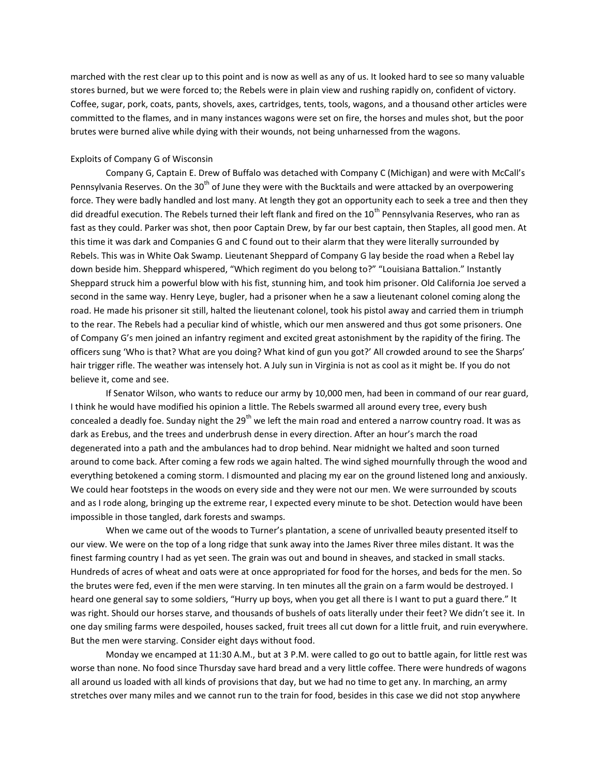marched with the rest clear up to this point and is now as well as any of us. It looked hard to see so many valuable stores burned, but we were forced to; the Rebels were in plain view and rushing rapidly on, confident of victory. Coffee, sugar, pork, coats, pants, shovels, axes, cartridges, tents, tools, wagons, and a thousand other articles were committed to the flames, and in many instances wagons were set on fire, the horses and mules shot, but the poor brutes were burned alive while dying with their wounds, not being unharnessed from the wagons.

# Exploits of Company G of Wisconsin

Company G, Captain E. Drew of Buffalo was detached with Company C (Michigan) and were with McCall's Pennsylvania Reserves. On the 30<sup>th</sup> of June they were with the Bucktails and were attacked by an overpowering force. They were badly handled and lost many. At length they got an opportunity each to seek a tree and then they did dreadful execution. The Rebels turned their left flank and fired on the 10<sup>th</sup> Pennsylvania Reserves, who ran as fast as they could. Parker was shot, then poor Captain Drew, by far our best captain, then Staples, all good men. At this time it was dark and Companies G and C found out to their alarm that they were literally surrounded by Rebels. This was in White Oak Swamp. Lieutenant Sheppard of Company G lay beside the road when a Rebel lay down beside him. Sheppard whispered, "Which regiment do you belong to?" "Louisiana Battalion." Instantly Sheppard struck him a powerful blow with his fist, stunning him, and took him prisoner. Old California Joe served a second in the same way. Henry Leye, bugler, had a prisoner when he a saw a lieutenant colonel coming along the road. He made his prisoner sit still, halted the lieutenant colonel, took his pistol away and carried them in triumph to the rear. The Rebels had a peculiar kind of whistle, which our men answered and thus got some prisoners. One of Company G's men joined an infantry regiment and excited great astonishment by the rapidity of the firing. The officers sung 'Who is that? What are you doing? What kind of gun you got?' All crowded around to see the Sharps' hair trigger rifle. The weather was intensely hot. A July sun in Virginia is not as cool as it might be. If you do not believe it, come and see.

If Senator Wilson, who wants to reduce our army by 10,000 men, had been in command of our rear guard, I think he would have modified his opinion a little. The Rebels swarmed all around every tree, every bush concealed a deadly foe. Sunday night the 29<sup>th</sup> we left the main road and entered a narrow country road. It was as dark as Erebus, and the trees and underbrush dense in every direction. After an hour's march the road degenerated into a path and the ambulances had to drop behind. Near midnight we halted and soon turned around to come back. After coming a few rods we again halted. The wind sighed mournfully through the wood and everything betokened a coming storm. I dismounted and placing my ear on the ground listened long and anxiously. We could hear footsteps in the woods on every side and they were not our men. We were surrounded by scouts and as I rode along, bringing up the extreme rear, I expected every minute to be shot. Detection would have been impossible in those tangled, dark forests and swamps.

When we came out of the woods to Turner's plantation, a scene of unrivalled beauty presented itself to our view. We were on the top of a long ridge that sunk away into the James River three miles distant. It was the finest farming country I had as yet seen. The grain was out and bound in sheaves, and stacked in small stacks. Hundreds of acres of wheat and oats were at once appropriated for food for the horses, and beds for the men. So the brutes were fed, even if the men were starving. In ten minutes all the grain on a farm would be destroyed. I heard one general say to some soldiers, "Hurry up boys, when you get all there is I want to put a guard there." It was right. Should our horses starve, and thousands of bushels of oats literally under their feet? We didn't see it. In one day smiling farms were despoiled, houses sacked, fruit trees all cut down for a little fruit, and ruin everywhere. But the men were starving. Consider eight days without food.

Monday we encamped at 11:30 A.M., but at 3 P.M. were called to go out to battle again, for little rest was worse than none. No food since Thursday save hard bread and a very little coffee. There were hundreds of wagons all around us loaded with all kinds of provisions that day, but we had no time to get any. In marching, an army stretches over many miles and we cannot run to the train for food, besides in this case we did not stop anywhere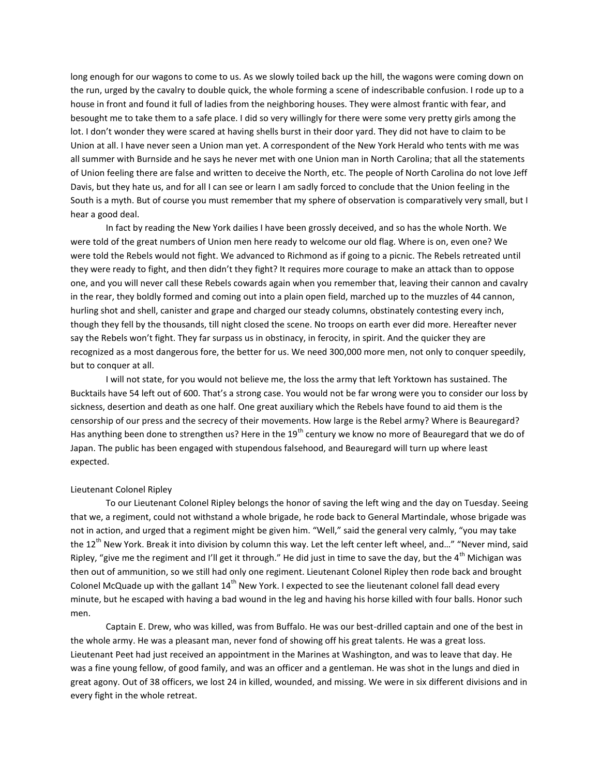long enough for our wagons to come to us. As we slowly toiled back up the hill, the wagons were coming down on the run, urged by the cavalry to double quick, the whole forming a scene of indescribable confusion. I rode up to a house in front and found it full of ladies from the neighboring houses. They were almost frantic with fear, and besought me to take them to a safe place. I did so very willingly for there were some very pretty girls among the lot. I don't wonder they were scared at having shells burst in their door yard. They did not have to claim to be Union at all. I have never seen a Union man yet. A correspondent of the New York Herald who tents with me was all summer with Burnside and he says he never met with one Union man in North Carolina; that all the statements of Union feeling there are false and written to deceive the North, etc. The people of North Carolina do not love Jeff Davis, but they hate us, and for all I can see or learn I am sadly forced to conclude that the Union feeling in the South is a myth. But of course you must remember that my sphere of observation is comparatively very small, but I hear a good deal.

In fact by reading the New York dailies I have been grossly deceived, and so has the whole North. We were told of the great numbers of Union men here ready to welcome our old flag. Where is on, even one? We were told the Rebels would not fight. We advanced to Richmond as if going to a picnic. The Rebels retreated until they were ready to fight, and then didn't they fight? It requires more courage to make an attack than to oppose one, and you will never call these Rebels cowards again when you remember that, leaving their cannon and cavalry in the rear, they boldly formed and coming out into a plain open field, marched up to the muzzles of 44 cannon, hurling shot and shell, canister and grape and charged our steady columns, obstinately contesting every inch, though they fell by the thousands, till night closed the scene. No troops on earth ever did more. Hereafter never say the Rebels won't fight. They far surpass us in obstinacy, in ferocity, in spirit. And the quicker they are recognized as a most dangerous fore, the better for us. We need 300,000 more men, not only to conquer speedily, but to conquer at all.

I will not state, for you would not believe me, the loss the army that left Yorktown has sustained. The Bucktails have 54 left out of 600. That's a strong case. You would not be far wrong were you to consider our loss by sickness, desertion and death as one half. One great auxiliary which the Rebels have found to aid them is the censorship of our press and the secrecy of their movements. How large is the Rebel army? Where is Beauregard? Has anything been done to strengthen us? Here in the 19<sup>th</sup> century we know no more of Beauregard that we do of Japan. The public has been engaged with stupendous falsehood, and Beauregard will turn up where least expected.

#### Lieutenant Colonel Ripley

To our Lieutenant Colonel Ripley belongs the honor of saving the left wing and the day on Tuesday. Seeing that we, a regiment, could not withstand a whole brigade, he rode back to General Martindale, whose brigade was not in action, and urged that a regiment might be given him. "Well," said the general very calmly, "you may take the 12<sup>th</sup> New York. Break it into division by column this way. Let the left center left wheel, and…" "Never mind, said Ripley, "give me the regiment and I'll get it through." He did just in time to save the day, but the 4<sup>th</sup> Michigan was then out of ammunition, so we still had only one regiment. Lieutenant Colonel Ripley then rode back and brought Colonel McQuade up with the gallant 14<sup>th</sup> New York. I expected to see the lieutenant colonel fall dead every minute, but he escaped with having a bad wound in the leg and having his horse killed with four balls. Honor such men.

Captain E. Drew, who was killed, was from Buffalo. He was our best-drilled captain and one of the best in the whole army. He was a pleasant man, never fond of showing off his great talents. He was a great loss. Lieutenant Peet had just received an appointment in the Marines at Washington, and was to leave that day. He was a fine young fellow, of good family, and was an officer and a gentleman. He was shot in the lungs and died in great agony. Out of 38 officers, we lost 24 in killed, wounded, and missing. We were in six different divisions and in every fight in the whole retreat.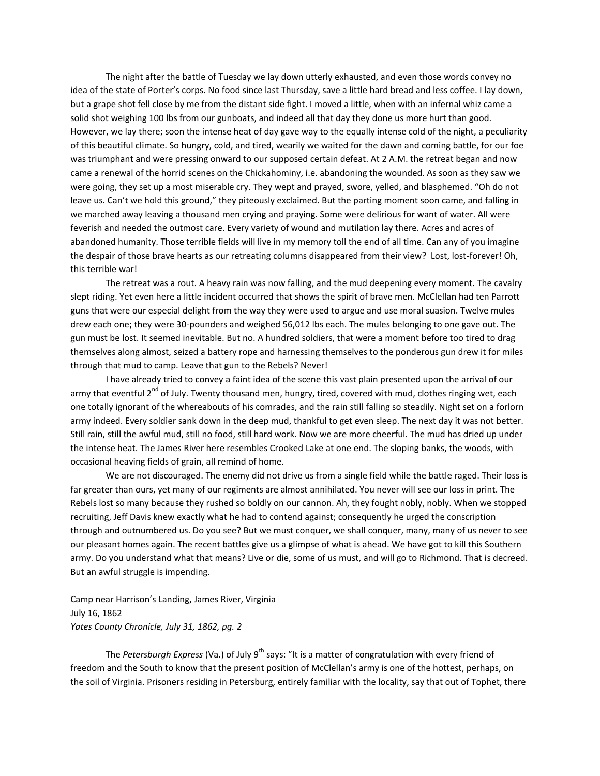The night after the battle of Tuesday we lay down utterly exhausted, and even those words convey no idea of the state of Porter's corps. No food since last Thursday, save a little hard bread and less coffee. I lay down, but a grape shot fell close by me from the distant side fight. I moved a little, when with an infernal whiz came a solid shot weighing 100 lbs from our gunboats, and indeed all that day they done us more hurt than good. However, we lay there; soon the intense heat of day gave way to the equally intense cold of the night, a peculiarity of this beautiful climate. So hungry, cold, and tired, wearily we waited for the dawn and coming battle, for our foe was triumphant and were pressing onward to our supposed certain defeat. At 2 A.M. the retreat began and now came a renewal of the horrid scenes on the Chickahominy, i.e. abandoning the wounded. As soon as they saw we were going, they set up a most miserable cry. They wept and prayed, swore, yelled, and blasphemed. "Oh do not leave us. Can't we hold this ground," they piteously exclaimed. But the parting moment soon came, and falling in we marched away leaving a thousand men crying and praying. Some were delirious for want of water. All were feverish and needed the outmost care. Every variety of wound and mutilation lay there. Acres and acres of abandoned humanity. Those terrible fields will live in my memory toll the end of all time. Can any of you imagine the despair of those brave hearts as our retreating columns disappeared from their view? Lost, lost-forever! Oh, this terrible war!

The retreat was a rout. A heavy rain was now falling, and the mud deepening every moment. The cavalry slept riding. Yet even here a little incident occurred that shows the spirit of brave men. McClellan had ten Parrott guns that were our especial delight from the way they were used to argue and use moral suasion. Twelve mules drew each one; they were 30-pounders and weighed 56,012 lbs each. The mules belonging to one gave out. The gun must be lost. It seemed inevitable. But no. A hundred soldiers, that were a moment before too tired to drag themselves along almost, seized a battery rope and harnessing themselves to the ponderous gun drew it for miles through that mud to camp. Leave that gun to the Rebels? Never!

I have already tried to convey a faint idea of the scene this vast plain presented upon the arrival of our army that eventful 2<sup>nd</sup> of July. Twenty thousand men, hungry, tired, covered with mud, clothes ringing wet, each one totally ignorant of the whereabouts of his comrades, and the rain still falling so steadily. Night set on a forlorn army indeed. Every soldier sank down in the deep mud, thankful to get even sleep. The next day it was not better. Still rain, still the awful mud, still no food, still hard work. Now we are more cheerful. The mud has dried up under the intense heat. The James River here resembles Crooked Lake at one end. The sloping banks, the woods, with occasional heaving fields of grain, all remind of home.

We are not discouraged. The enemy did not drive us from a single field while the battle raged. Their loss is far greater than ours, yet many of our regiments are almost annihilated. You never will see our loss in print. The Rebels lost so many because they rushed so boldly on our cannon. Ah, they fought nobly, nobly. When we stopped recruiting, Jeff Davis knew exactly what he had to contend against; consequently he urged the conscription through and outnumbered us. Do you see? But we must conquer, we shall conquer, many, many of us never to see our pleasant homes again. The recent battles give us a glimpse of what is ahead. We have got to kill this Southern army. Do you understand what that means? Live or die, some of us must, and will go to Richmond. That is decreed. But an awful struggle is impending.

Camp near Harrison's Landing, James River, Virginia July 16, 1862 *Yates County Chronicle, July 31, 1862, pg. 2*

The *Petersburgh Express* (Va.) of July 9<sup>th</sup> says: "It is a matter of congratulation with every friend of freedom and the South to know that the present position of McClellan's army is one of the hottest, perhaps, on the soil of Virginia. Prisoners residing in Petersburg, entirely familiar with the locality, say that out of Tophet, there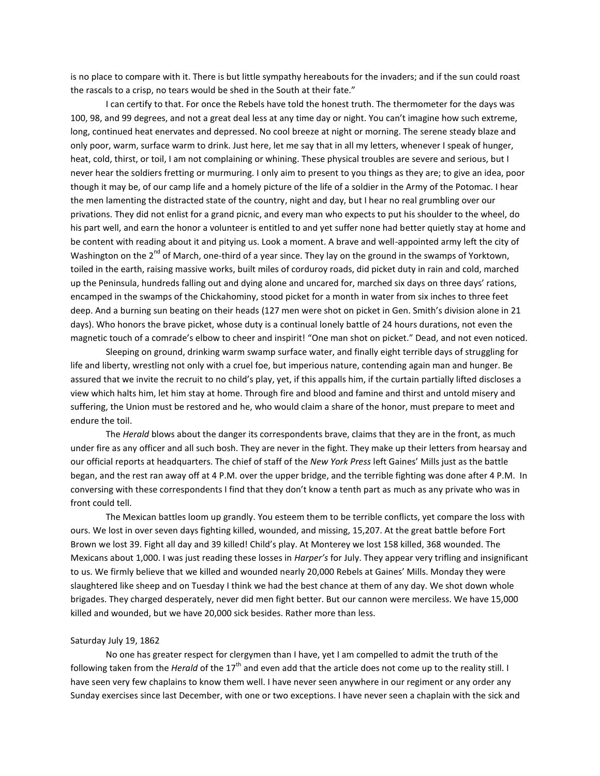is no place to compare with it. There is but little sympathy hereabouts for the invaders; and if the sun could roast the rascals to a crisp, no tears would be shed in the South at their fate."

I can certify to that. For once the Rebels have told the honest truth. The thermometer for the days was 100, 98, and 99 degrees, and not a great deal less at any time day or night. You can't imagine how such extreme, long, continued heat enervates and depressed. No cool breeze at night or morning. The serene steady blaze and only poor, warm, surface warm to drink. Just here, let me say that in all my letters, whenever I speak of hunger, heat, cold, thirst, or toil, I am not complaining or whining. These physical troubles are severe and serious, but I never hear the soldiers fretting or murmuring. I only aim to present to you things as they are; to give an idea, poor though it may be, of our camp life and a homely picture of the life of a soldier in the Army of the Potomac. I hear the men lamenting the distracted state of the country, night and day, but I hear no real grumbling over our privations. They did not enlist for a grand picnic, and every man who expects to put his shoulder to the wheel, do his part well, and earn the honor a volunteer is entitled to and yet suffer none had better quietly stay at home and be content with reading about it and pitying us. Look a moment. A brave and well-appointed army left the city of Washington on the  $2^{nd}$  of March, one-third of a year since. They lay on the ground in the swamps of Yorktown, toiled in the earth, raising massive works, built miles of corduroy roads, did picket duty in rain and cold, marched up the Peninsula, hundreds falling out and dying alone and uncared for, marched six days on three days' rations, encamped in the swamps of the Chickahominy, stood picket for a month in water from six inches to three feet deep. And a burning sun beating on their heads (127 men were shot on picket in Gen. Smith's division alone in 21 days). Who honors the brave picket, whose duty is a continual lonely battle of 24 hours durations, not even the magnetic touch of a comrade's elbow to cheer and inspirit! "One man shot on picket." Dead, and not even noticed.

Sleeping on ground, drinking warm swamp surface water, and finally eight terrible days of struggling for life and liberty, wrestling not only with a cruel foe, but imperious nature, contending again man and hunger. Be assured that we invite the recruit to no child's play, yet, if this appalls him, if the curtain partially lifted discloses a view which halts him, let him stay at home. Through fire and blood and famine and thirst and untold misery and suffering, the Union must be restored and he, who would claim a share of the honor, must prepare to meet and endure the toil.

The *Herald* blows about the danger its correspondents brave, claims that they are in the front, as much under fire as any officer and all such bosh. They are never in the fight. They make up their letters from hearsay and our official reports at headquarters. The chief of staff of the *New York Press* left Gaines' Mills just as the battle began, and the rest ran away off at 4 P.M. over the upper bridge, and the terrible fighting was done after 4 P.M. In conversing with these correspondents I find that they don't know a tenth part as much as any private who was in front could tell.

The Mexican battles loom up grandly. You esteem them to be terrible conflicts, yet compare the loss with ours. We lost in over seven days fighting killed, wounded, and missing, 15,207. At the great battle before Fort Brown we lost 39. Fight all day and 39 killed! Child's play. At Monterey we lost 158 killed, 368 wounded. The Mexicans about 1,000. I was just reading these losses in *Harper's* for July. They appear very trifling and insignificant to us. We firmly believe that we killed and wounded nearly 20,000 Rebels at Gaines' Mills. Monday they were slaughtered like sheep and on Tuesday I think we had the best chance at them of any day. We shot down whole brigades. They charged desperately, never did men fight better. But our cannon were merciless. We have 15,000 killed and wounded, but we have 20,000 sick besides. Rather more than less.

# Saturday July 19, 1862

No one has greater respect for clergymen than I have, yet I am compelled to admit the truth of the following taken from the *Herald* of the 17<sup>th</sup> and even add that the article does not come up to the reality still. I have seen very few chaplains to know them well. I have never seen anywhere in our regiment or any order any Sunday exercises since last December, with one or two exceptions. I have never seen a chaplain with the sick and